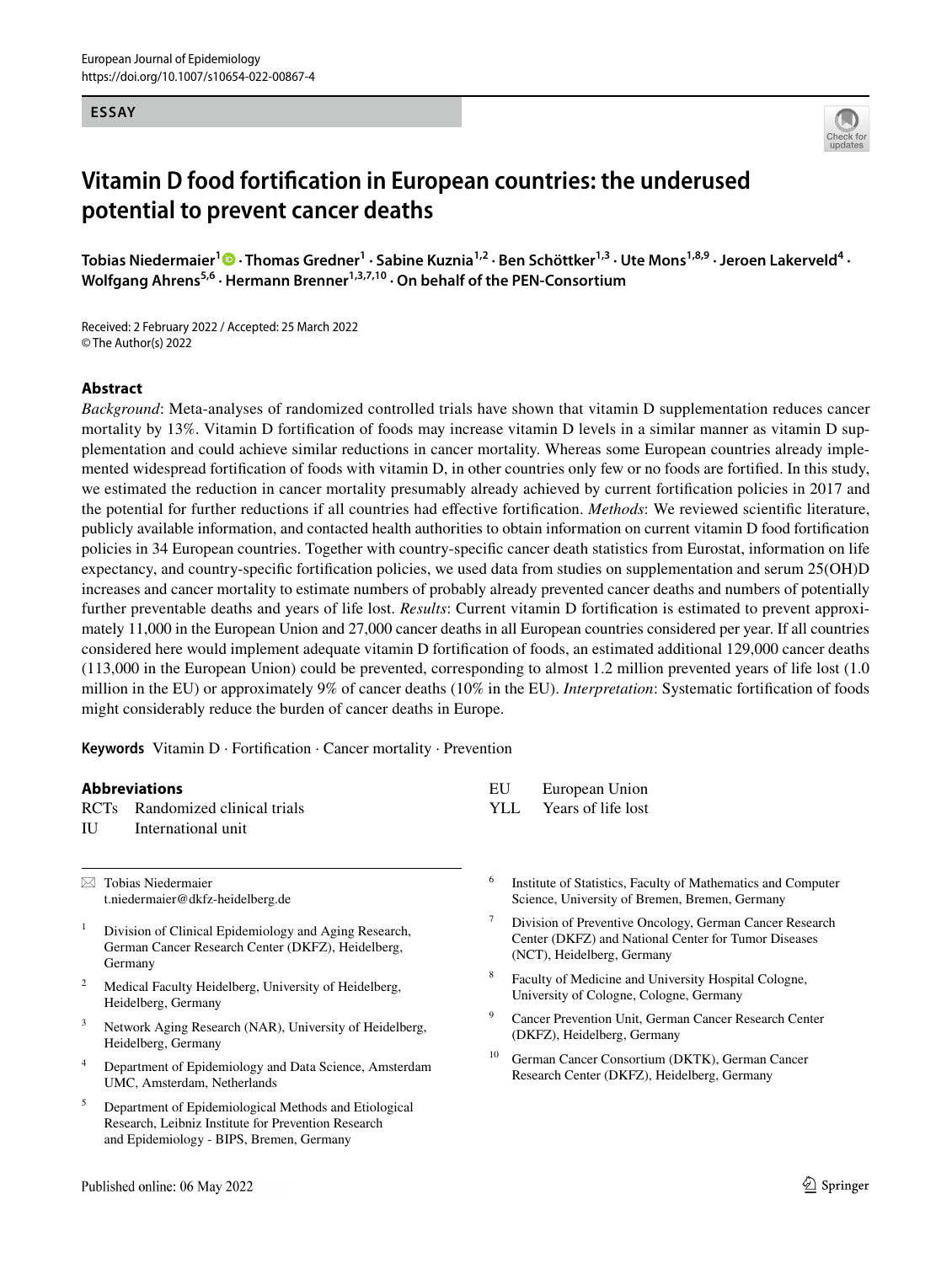#### **ESSAY**



# **Vitamin D food fortifcation in European countries: the underused potential to prevent cancer deaths**

TobiasNiedermaier<sup>1</sup> • Thomas Gredner<sup>1</sup> · Sabine Kuznia<sup>1,2</sup> · Ben Schöttker<sup>1,3</sup> · Ute Mons<sup>1,8,9</sup> · Jeroen Lakerveld<sup>4</sup> · Wolfgang Ahrens<sup>5,6</sup> · Hermann Brenner<sup>1,3,7,10</sup> · On behalf of the PEN-Consortium

Received: 2 February 2022 / Accepted: 25 March 2022 © The Author(s) 2022

#### **Abstract**

*Background*: Meta-analyses of randomized controlled trials have shown that vitamin D supplementation reduces cancer mortality by 13%. Vitamin D fortifcation of foods may increase vitamin D levels in a similar manner as vitamin D supplementation and could achieve similar reductions in cancer mortality. Whereas some European countries already implemented widespread fortifcation of foods with vitamin D, in other countries only few or no foods are fortifed. In this study, we estimated the reduction in cancer mortality presumably already achieved by current fortifcation policies in 2017 and the potential for further reductions if all countries had efective fortifcation. *Methods*: We reviewed scientifc literature, publicly available information, and contacted health authorities to obtain information on current vitamin D food fortifcation policies in 34 European countries. Together with country-specifc cancer death statistics from Eurostat, information on life expectancy, and country-specifc fortifcation policies, we used data from studies on supplementation and serum 25(OH)D increases and cancer mortality to estimate numbers of probably already prevented cancer deaths and numbers of potentially further preventable deaths and years of life lost. *Results*: Current vitamin D fortifcation is estimated to prevent approximately 11,000 in the European Union and 27,000 cancer deaths in all European countries considered per year. If all countries considered here would implement adequate vitamin D fortifcation of foods, an estimated additional 129,000 cancer deaths (113,000 in the European Union) could be prevented, corresponding to almost 1.2 million prevented years of life lost (1.0 million in the EU) or approximately 9% of cancer deaths (10% in the EU). *Interpretation*: Systematic fortifcation of foods might considerably reduce the burden of cancer deaths in Europe.

**Keywords** Vitamin D · Fortifcation · Cancer mortality · Prevention

#### **Abbreviations** RCTs Randomized clinical trials IU International unit EU European Union YLL Years of life lost  $\boxtimes$  Tobias Niedermaier t.niedermaier@dkfz-heidelberg.de <sup>1</sup> Division of Clinical Epidemiology and Aging Research, German Cancer Research Center (DKFZ), Heidelberg, Germany Medical Faculty Heidelberg, University of Heidelberg, Heidelberg, Germany <sup>6</sup> Institute of Statistics, Faculty of Mathematics and Computer Science, University of Bremen, Bremen, Germany <sup>7</sup> Division of Preventive Oncology, German Cancer Research Center (DKFZ) and National Center for Tumor Diseases (NCT), Heidelberg, Germany Faculty of Medicine and University Hospital Cologne, University of Cologne, Cologne, Germany <sup>9</sup> Cancer Prevention Unit, German Cancer Research Center (DKFZ), Heidelberg, Germany

<sup>10</sup> German Cancer Consortium (DKTK), German Cancer Research Center (DKFZ), Heidelberg, Germany

- 
- 
- <sup>3</sup> Network Aging Research (NAR), University of Heidelberg, Heidelberg, Germany
- <sup>4</sup> Department of Epidemiology and Data Science, Amsterdam UMC, Amsterdam, Netherlands
- <sup>5</sup> Department of Epidemiological Methods and Etiological Research, Leibniz Institute for Prevention Research and Epidemiology - BIPS, Bremen, Germany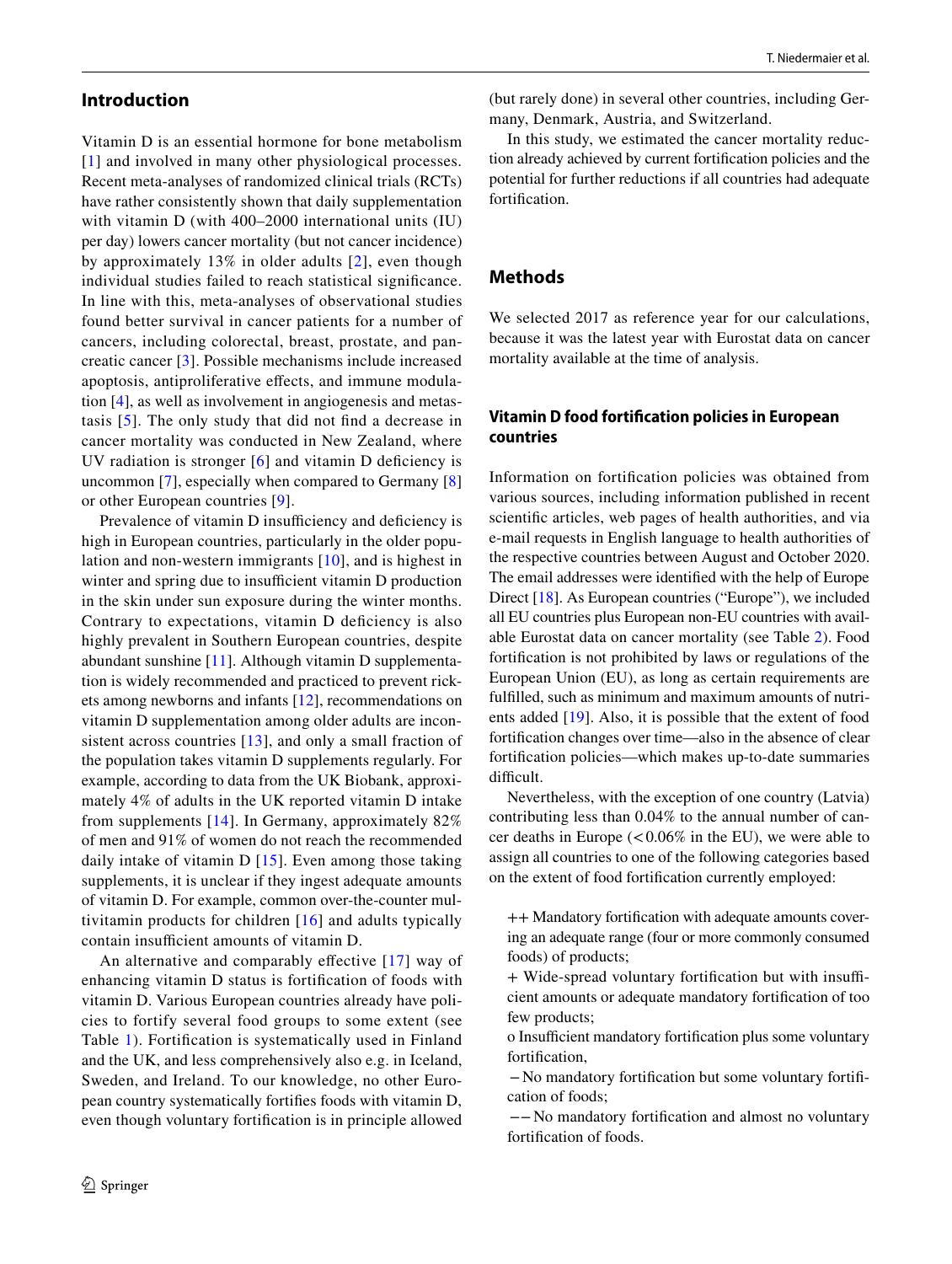# **Introduction**

Vitamin D is an essential hormone for bone metabolism [[1\]](#page-9-0) and involved in many other physiological processes. Recent meta-analyses of randomized clinical trials (RCTs) have rather consistently shown that daily supplementation with vitamin D (with 400–2000 international units (IU) per day) lowers cancer mortality (but not cancer incidence) by approximately 13% in older adults [\[2\]](#page-9-1), even though individual studies failed to reach statistical signifcance. In line with this, meta-analyses of observational studies found better survival in cancer patients for a number of cancers, including colorectal, breast, prostate, and pancreatic cancer [[3](#page-9-2)]. Possible mechanisms include increased apoptosis, antiproliferative efects, and immune modulation [[4\]](#page-9-3), as well as involvement in angiogenesis and metastasis [[5\]](#page-9-4). The only study that did not fnd a decrease in cancer mortality was conducted in New Zealand, where UV radiation is stronger  $[6]$  and vitamin D deficiency is uncommon [[7\]](#page-9-6), especially when compared to Germany [[8\]](#page-9-7) or other European countries [\[9\]](#page-9-8).

Prevalence of vitamin D insufficiency and deficiency is high in European countries, particularly in the older population and non-western immigrants [\[10\]](#page-9-9), and is highest in winter and spring due to insufficient vitamin D production in the skin under sun exposure during the winter months. Contrary to expectations, vitamin D deficiency is also highly prevalent in Southern European countries, despite abundant sunshine [[11](#page-9-10)]. Although vitamin D supplementation is widely recommended and practiced to prevent rickets among newborns and infants [\[12](#page-9-11)], recommendations on vitamin D supplementation among older adults are inconsistent across countries [\[13\]](#page-9-12), and only a small fraction of the population takes vitamin D supplements regularly. For example, according to data from the UK Biobank, approximately 4% of adults in the UK reported vitamin D intake from supplements [[14](#page-9-13)]. In Germany, approximately 82% of men and 91% of women do not reach the recommended daily intake of vitamin D [\[15\]](#page-9-14). Even among those taking supplements, it is unclear if they ingest adequate amounts of vitamin D. For example, common over-the-counter multivitamin products for children [\[16\]](#page-9-15) and adults typically contain insufficient amounts of vitamin D.

An alternative and comparably effective [[17](#page-9-16)] way of enhancing vitamin D status is fortifcation of foods with vitamin D. Various European countries already have policies to fortify several food groups to some extent (see Table [1](#page-2-0)). Fortifcation is systematically used in Finland and the UK, and less comprehensively also e.g. in Iceland, Sweden, and Ireland. To our knowledge, no other European country systematically fortifes foods with vitamin D, even though voluntary fortifcation is in principle allowed

(but rarely done) in several other countries, including Germany, Denmark, Austria, and Switzerland.

In this study, we estimated the cancer mortality reduction already achieved by current fortifcation policies and the potential for further reductions if all countries had adequate fortifcation.

# **Methods**

We selected 2017 as reference year for our calculations, because it was the latest year with Eurostat data on cancer mortality available at the time of analysis.

# **Vitamin D food fortifcation policies in European countries**

Information on fortifcation policies was obtained from various sources, including information published in recent scientifc articles, web pages of health authorities, and via e-mail requests in English language to health authorities of the respective countries between August and October 2020. The email addresses were identifed with the help of Europe Direct [[18\]](#page-9-17). As European countries ("Europe"), we included all EU countries plus European non-EU countries with available Eurostat data on cancer mortality (see Table [2\)](#page-3-0). Food fortifcation is not prohibited by laws or regulations of the European Union (EU), as long as certain requirements are fulflled, such as minimum and maximum amounts of nutrients added [[19\]](#page-9-18). Also, it is possible that the extent of food fortifcation changes over time—also in the absence of clear fortifcation policies—which makes up-to-date summaries difficult.

Nevertheless, with the exception of one country (Latvia) contributing less than 0.04% to the annual number of cancer deaths in Europe  $(< 0.06\%$  in the EU), we were able to assign all countries to one of the following categories based on the extent of food fortifcation currently employed:

++ Mandatory fortifcation with adequate amounts covering an adequate range (four or more commonly consumed foods) of products;

+ Wide-spread voluntary fortification but with insufficient amounts or adequate mandatory fortifcation of too few products;

o Insufficient mandatory fortification plus some voluntary fortifcation,

−No mandatory fortifcation but some voluntary fortifcation of foods;

−−No mandatory fortifcation and almost no voluntary fortifcation of foods.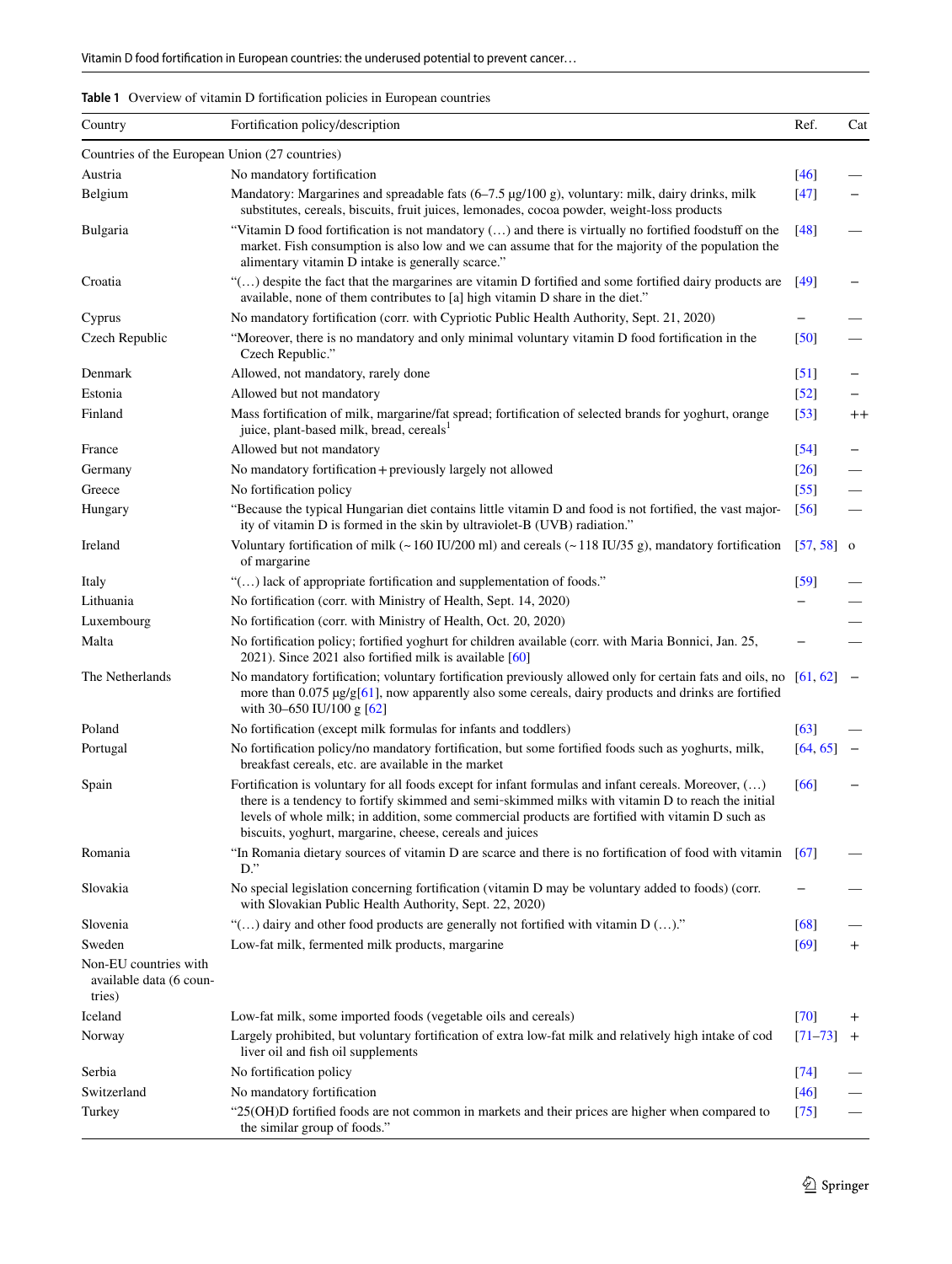<span id="page-2-0"></span>

| <b>Table 1</b> Overview of vitamin D fortification policies in European countries |  |
|-----------------------------------------------------------------------------------|--|
|-----------------------------------------------------------------------------------|--|

| Country                                                    | Fortification policy/description                                                                                                                                                                                                                                                                                                                                                  | Ref.              | Cat                     |
|------------------------------------------------------------|-----------------------------------------------------------------------------------------------------------------------------------------------------------------------------------------------------------------------------------------------------------------------------------------------------------------------------------------------------------------------------------|-------------------|-------------------------|
| Countries of the European Union (27 countries)             |                                                                                                                                                                                                                                                                                                                                                                                   |                   |                         |
| Austria                                                    | No mandatory fortification                                                                                                                                                                                                                                                                                                                                                        | $[46]$            |                         |
| Belgium                                                    | Mandatory: Margarines and spreadable fats (6–7.5 µg/100 g), voluntary: milk, dairy drinks, milk<br>substitutes, cereals, biscuits, fruit juices, lemonades, cocoa powder, weight-loss products                                                                                                                                                                                    | $[47]$            |                         |
| Bulgaria                                                   | "Vitamin D food fortification is not mandatory () and there is virtually no fortified foodstuff on the<br>market. Fish consumption is also low and we can assume that for the majority of the population the<br>alimentary vitamin D intake is generally scarce."                                                                                                                 | $[48]$            |                         |
| Croatia                                                    | " $(\ldots)$ despite the fact that the margarines are vitamin D fortified and some fortified dairy products are<br>available, none of them contributes to [a] high vitamin D share in the diet."                                                                                                                                                                                  | $[49]$            |                         |
| Cyprus                                                     | No mandatory fortification (corr. with Cypriotic Public Health Authority, Sept. 21, 2020)                                                                                                                                                                                                                                                                                         |                   |                         |
| Czech Republic                                             | "Moreover, there is no mandatory and only minimal voluntary vitamin D food fortification in the<br>Czech Republic."                                                                                                                                                                                                                                                               | [50]              |                         |
| Denmark                                                    | Allowed, not mandatory, rarely done                                                                                                                                                                                                                                                                                                                                               | $\left[51\right]$ |                         |
| Estonia                                                    | Allowed but not mandatory                                                                                                                                                                                                                                                                                                                                                         | $\left[52\right]$ |                         |
| Finland                                                    | Mass fortification of milk, margarine/fat spread; fortification of selected brands for yoghurt, orange<br>juice, plant-based milk, bread, cereals <sup>1</sup>                                                                                                                                                                                                                    | $\left[53\right]$ | $^{++}$                 |
| France                                                     | Allowed but not mandatory                                                                                                                                                                                                                                                                                                                                                         | $\left[54\right]$ |                         |
| Germany                                                    | No mandatory fortification + previously largely not allowed                                                                                                                                                                                                                                                                                                                       | [26]              |                         |
| Greece                                                     | No fortification policy                                                                                                                                                                                                                                                                                                                                                           | $\left[55\right]$ |                         |
| Hungary                                                    | "Because the typical Hungarian diet contains little vitamin D and food is not fortified, the vast major-<br>ity of vitamin D is formed in the skin by ultraviolet-B (UVB) radiation."                                                                                                                                                                                             | $\left[56\right]$ |                         |
| Ireland                                                    | Voluntary fortification of milk ( $\sim$ 160 IU/200 ml) and cereals ( $\sim$ 118 IU/35 g), mandatory fortification<br>of margarine                                                                                                                                                                                                                                                | [57, 58]          | $\overline{\mathbf{O}}$ |
| Italy                                                      | "() lack of appropriate fortification and supplementation of foods."                                                                                                                                                                                                                                                                                                              | [59]              |                         |
| Lithuania                                                  | No fortification (corr. with Ministry of Health, Sept. 14, 2020)                                                                                                                                                                                                                                                                                                                  |                   |                         |
| Luxembourg                                                 | No fortification (corr. with Ministry of Health, Oct. 20, 2020)                                                                                                                                                                                                                                                                                                                   |                   |                         |
| Malta                                                      | No fortification policy; fortified yoghurt for children available (corr. with Maria Bonnici, Jan. 25,<br>2021). Since 2021 also fortified milk is available [60]                                                                                                                                                                                                                  |                   |                         |
| The Netherlands                                            | No mandatory fortification; voluntary fortification previously allowed only for certain fats and oils, no<br>more than $0.075 \mu g/g[61]$ , now apparently also some cereals, dairy products and drinks are fortified<br>with 30-650 IU/100 g [62]                                                                                                                               | [61, 62]          |                         |
| Poland                                                     | No fortification (except milk formulas for infants and toddlers)                                                                                                                                                                                                                                                                                                                  | [63]              |                         |
| Portugal                                                   | No fortification policy/no mandatory fortification, but some fortified foods such as yoghurts, milk,<br>breakfast cereals, etc. are available in the market                                                                                                                                                                                                                       | [64, 65]          |                         |
| Spain                                                      | Fortification is voluntary for all foods except for infant formulas and infant cereals. Moreover, $(\ldots)$<br>there is a tendency to fortify skimmed and semi-skimmed milks with vitamin D to reach the initial<br>levels of whole milk; in addition, some commercial products are fortified with vitamin D such as<br>biscuits, yoghurt, margarine, cheese, cereals and juices | [66]              |                         |
| Romania                                                    | "In Romania dietary sources of vitamin D are scarce and there is no fortification of food with vitamin<br>$D$ ."                                                                                                                                                                                                                                                                  | [67]              |                         |
| Slovakia                                                   | No special legislation concerning fortification (vitamin D may be voluntary added to foods) (corr.<br>with Slovakian Public Health Authority, Sept. 22, 2020)                                                                                                                                                                                                                     |                   |                         |
| Slovenia                                                   | "() dairy and other food products are generally not fortified with vitamin D ()."                                                                                                                                                                                                                                                                                                 | [68]              |                         |
| Sweden                                                     | Low-fat milk, fermented milk products, margarine                                                                                                                                                                                                                                                                                                                                  | [69]              | $\pm$                   |
| Non-EU countries with<br>available data (6 coun-<br>tries) |                                                                                                                                                                                                                                                                                                                                                                                   |                   |                         |
| Iceland                                                    | Low-fat milk, some imported foods (vegetable oils and cereals)                                                                                                                                                                                                                                                                                                                    | [70]              | $^+$                    |
| Norway                                                     | Largely prohibited, but voluntary fortification of extra low-fat milk and relatively high intake of cod<br>liver oil and fish oil supplements                                                                                                                                                                                                                                     | $[71 - 73]$       | $\overline{+}$          |
| Serbia                                                     | No fortification policy                                                                                                                                                                                                                                                                                                                                                           | [74]              |                         |
| Switzerland                                                | No mandatory fortification                                                                                                                                                                                                                                                                                                                                                        | $[46]$            |                         |
| Turkey                                                     | "25(OH)D fortified foods are not common in markets and their prices are higher when compared to<br>the similar group of foods."                                                                                                                                                                                                                                                   | [75]              |                         |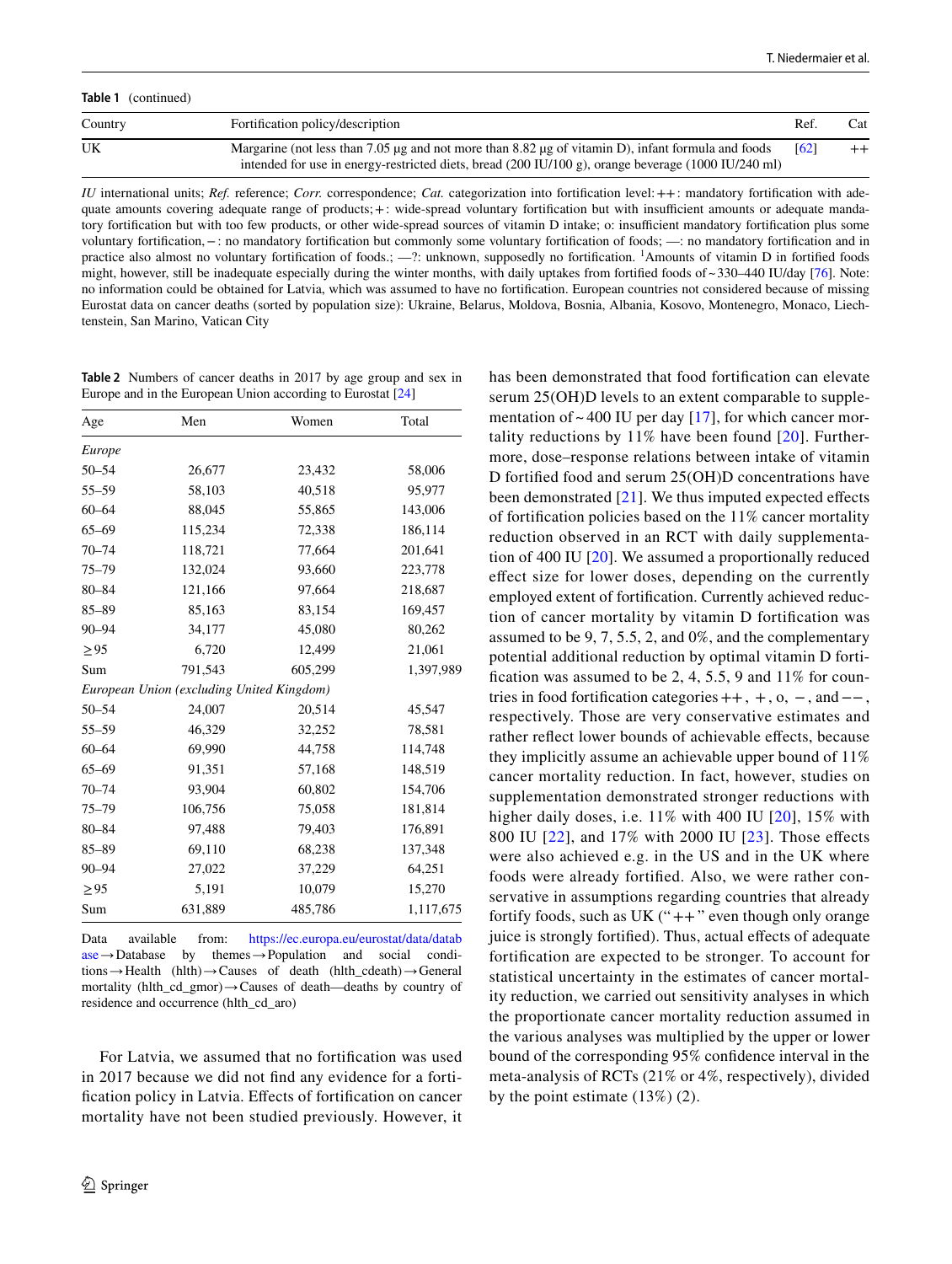**Table 1** (continued) Country **Fortification policy/description Fortification policy/description** Ref. Cat UK Margarine (not less than 7.05 µg and not more than 8.82 µg of vitamin D), infant formula and foods intended for use in energy-restricted diets, bread (200 IU/100 g), orange beverage (1000 IU/240 ml)  $[62]$  ++

*IU* international units; *Ref.* reference; *Corr.* correspondence; *Cat.* categorization into fortification level: ++: mandatory fortification with adequate amounts covering adequate range of products; +: wide-spread voluntary fortification but with insufficient amounts or adequate mandatory fortification but with too few products, or other wide-spread sources of vitamin D intake; o: insufficient mandatory fortification plus some voluntary fortifcation,−: no mandatory fortifcation but commonly some voluntary fortifcation of foods; —: no mandatory fortifcation and in practice also almost no voluntary fortification of foods.;  $-$ ?: unknown, supposedly no fortification. <sup>1</sup>Amounts of vitamin D in fortified foods might, however, still be inadequate especially during the winter months, with daily uptakes from fortified foods of  $\sim$  330–440 IU/day [[76](#page-11-14)]. Note: no information could be obtained for Latvia, which was assumed to have no fortifcation. European countries not considered because of missing Eurostat data on cancer deaths (sorted by population size): Ukraine, Belarus, Moldova, Bosnia, Albania, Kosovo, Montenegro, Monaco, Liechtenstein, San Marino, Vatican City

<span id="page-3-0"></span>**Table 2** Numbers of cancer deaths in 2017 by age group and sex in Europe and in the European Union according to Eurostat [[24](#page-9-24)]

| Age       | Men                                       | Women   | Total     |  |
|-----------|-------------------------------------------|---------|-----------|--|
| Europe    |                                           |         |           |  |
| $50 - 54$ | 26,677                                    | 23,432  | 58,006    |  |
| $55 - 59$ | 58,103                                    | 40,518  | 95,977    |  |
| $60 - 64$ | 88,045                                    | 55,865  | 143,006   |  |
| $65 - 69$ | 115,234                                   | 72,338  | 186,114   |  |
| $70 - 74$ | 118,721                                   | 77,664  | 201,641   |  |
| $75 - 79$ | 132,024                                   | 93,660  | 223,778   |  |
| $80 - 84$ | 121,166                                   | 97,664  | 218,687   |  |
| $85 - 89$ | 85,163                                    | 83,154  | 169,457   |  |
| $90 - 94$ | 34,177                                    | 45,080  | 80,262    |  |
| > 95      | 6,720                                     | 12,499  | 21,061    |  |
| Sum       | 791,543                                   | 605,299 | 1,397,989 |  |
|           | European Union (excluding United Kingdom) |         |           |  |
| $50 - 54$ | 24,007                                    | 20,514  | 45,547    |  |
| $55 - 59$ | 46,329                                    | 32,252  | 78,581    |  |
| $60 - 64$ | 69,990                                    | 44,758  | 114,748   |  |
| $65 - 69$ | 91,351                                    | 57,168  | 148,519   |  |
| $70 - 74$ | 93,904                                    | 60,802  | 154,706   |  |
| $75 - 79$ | 106,756                                   | 75,058  | 181,814   |  |
| $80 - 84$ | 97,488                                    | 79,403  | 176,891   |  |
| $85 - 89$ | 69,110                                    | 68,238  | 137,348   |  |
| $90 - 94$ | 27,022                                    | 37,229  | 64,251    |  |
| > 95      | 5,191                                     | 10,079  | 15,270    |  |
| Sum       | 631,889                                   | 485,786 | 1,117,675 |  |

Data available from: [https://ec.europa.eu/eurostat/data/datab](https://ec.europa.eu/eurostat/data/database) [ase](https://ec.europa.eu/eurostat/data/database)→Database by themes→Population and social conditions→Health (hlth)→Causes of death (hlth\_cdeath)→General mortality (hlth\_cd\_gmor)→Causes of death—deaths by country of residence and occurrence (hlth\_cd\_aro)

For Latvia, we assumed that no fortifcation was used in 2017 because we did not fnd any evidence for a fortifcation policy in Latvia. Efects of fortifcation on cancer mortality have not been studied previously. However, it has been demonstrated that food fortifcation can elevate serum 25(OH)D levels to an extent comparable to supplementation of  $\sim$  400 IU per day [[17\]](#page-9-16), for which cancer mortality reductions by 11% have been found [[20](#page-9-20)]. Furthermore, dose–response relations between intake of vitamin D fortifed food and serum 25(OH)D concentrations have been demonstrated [[21](#page-9-21)]. We thus imputed expected effects of fortifcation policies based on the 11% cancer mortality reduction observed in an RCT with daily supplementation of 400 IU [\[20\]](#page-9-20). We assumed a proportionally reduced efect size for lower doses, depending on the currently employed extent of fortifcation. Currently achieved reduction of cancer mortality by vitamin D fortifcation was assumed to be 9, 7, 5.5, 2, and 0%, and the complementary potential additional reduction by optimal vitamin D fortification was assumed to be  $2, 4, 5.5, 9$  and  $11\%$  for countries in food fortification categories  $++$ ,  $+, o, -$ , and  $--$ , respectively. Those are very conservative estimates and rather refect lower bounds of achievable efects, because they implicitly assume an achievable upper bound of 11% cancer mortality reduction. In fact, however, studies on supplementation demonstrated stronger reductions with higher daily doses, i.e. 11% with 400 IU [[20](#page-9-20)], 15% with 800 IU [[22\]](#page-9-22), and 17% with 2000 IU [[23](#page-9-23)]. Those efects were also achieved e.g. in the US and in the UK where foods were already fortifed. Also, we were rather conservative in assumptions regarding countries that already fortify foods, such as UK  $("++"$  even though only orange juice is strongly fortifed). Thus, actual efects of adequate fortifcation are expected to be stronger. To account for statistical uncertainty in the estimates of cancer mortality reduction, we carried out sensitivity analyses in which the proportionate cancer mortality reduction assumed in the various analyses was multiplied by the upper or lower bound of the corresponding 95% confdence interval in the meta-analysis of RCTs (21% or 4%, respectively), divided by the point estimate (13%) (2).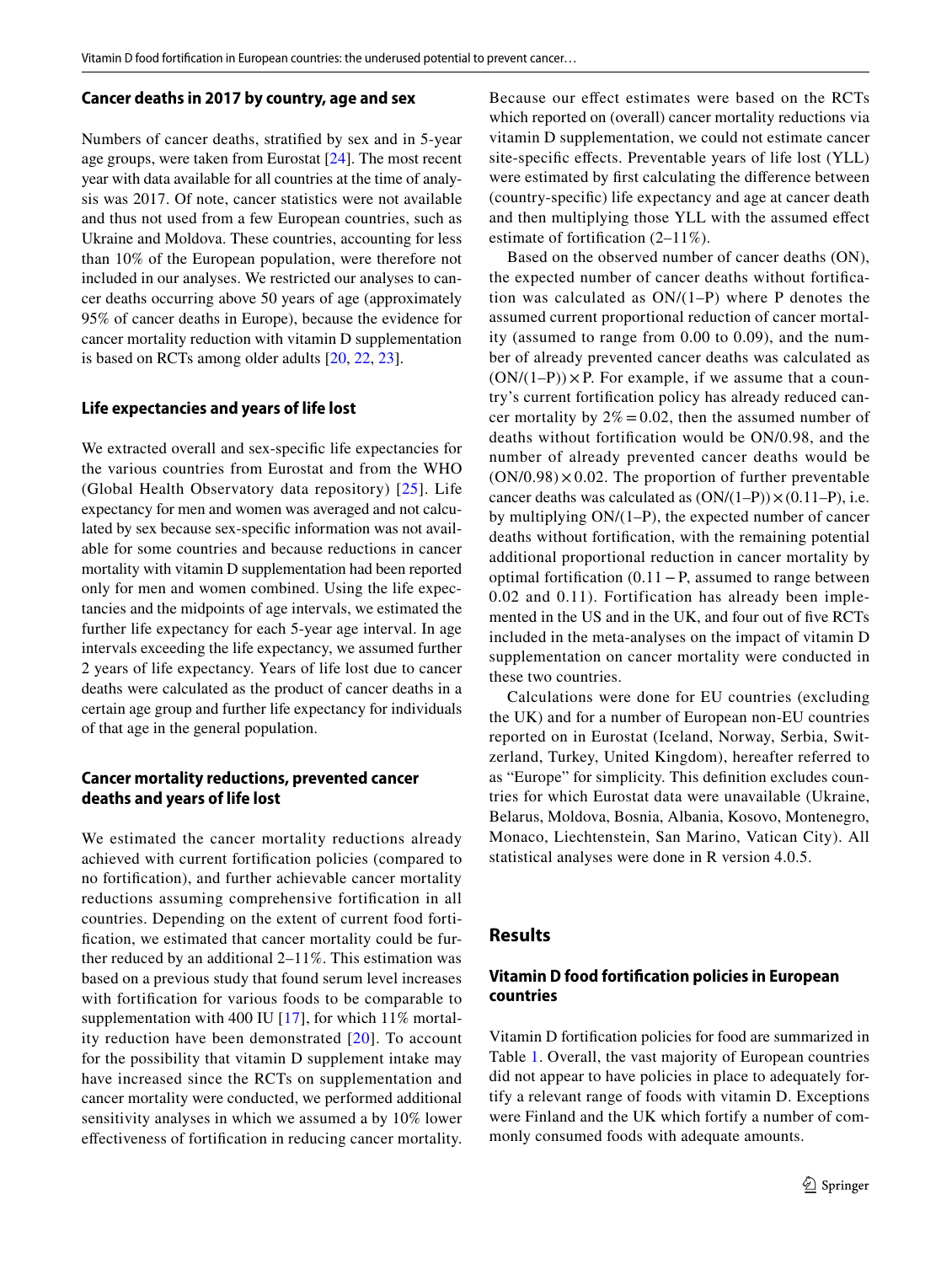#### **Cancer deaths in 2017 by country, age and sex**

Numbers of cancer deaths, stratifed by sex and in 5-year age groups, were taken from Eurostat [\[24\]](#page-9-24). The most recent year with data available for all countries at the time of analysis was 2017. Of note, cancer statistics were not available and thus not used from a few European countries, such as Ukraine and Moldova. These countries, accounting for less than 10% of the European population, were therefore not included in our analyses. We restricted our analyses to cancer deaths occurring above 50 years of age (approximately 95% of cancer deaths in Europe), because the evidence for cancer mortality reduction with vitamin D supplementation is based on RCTs among older adults [[20,](#page-9-20) [22,](#page-9-22) [23\]](#page-9-23).

#### **Life expectancies and years of life lost**

We extracted overall and sex-specifc life expectancies for the various countries from Eurostat and from the WHO (Global Health Observatory data repository) [\[25](#page-9-25)]. Life expectancy for men and women was averaged and not calculated by sex because sex-specifc information was not available for some countries and because reductions in cancer mortality with vitamin D supplementation had been reported only for men and women combined. Using the life expectancies and the midpoints of age intervals, we estimated the further life expectancy for each 5-year age interval. In age intervals exceeding the life expectancy, we assumed further 2 years of life expectancy. Years of life lost due to cancer deaths were calculated as the product of cancer deaths in a certain age group and further life expectancy for individuals of that age in the general population.

## **Cancer mortality reductions, prevented cancer deaths and years of life lost**

We estimated the cancer mortality reductions already achieved with current fortifcation policies (compared to no fortifcation), and further achievable cancer mortality reductions assuming comprehensive fortifcation in all countries. Depending on the extent of current food fortifcation, we estimated that cancer mortality could be further reduced by an additional 2–11%. This estimation was based on a previous study that found serum level increases with fortifcation for various foods to be comparable to supplementation with 400 IU [[17\]](#page-9-16), for which 11% mortality reduction have been demonstrated  $[20]$  $[20]$ . To account for the possibility that vitamin D supplement intake may have increased since the RCTs on supplementation and cancer mortality were conducted, we performed additional sensitivity analyses in which we assumed a by 10% lower efectiveness of fortifcation in reducing cancer mortality. Because our efect estimates were based on the RCTs which reported on (overall) cancer mortality reductions via vitamin D supplementation, we could not estimate cancer site-specifc efects. Preventable years of life lost (YLL) were estimated by frst calculating the diference between (country-specifc) life expectancy and age at cancer death and then multiplying those YLL with the assumed efect estimate of fortifcation (2–11%).

Based on the observed number of cancer deaths (ON), the expected number of cancer deaths without fortifcation was calculated as ON/(1–P) where P denotes the assumed current proportional reduction of cancer mortality (assumed to range from 0.00 to 0.09), and the number of already prevented cancer deaths was calculated as  $(ON/(1-P)) \times P$ . For example, if we assume that a country's current fortifcation policy has already reduced cancer mortality by  $2\% = 0.02$ , then the assumed number of deaths without fortifcation would be ON/0.98, and the number of already prevented cancer deaths would be  $(ON/0.98) \times 0.02$ . The proportion of further preventable cancer deaths was calculated as  $(ON/(1-P)) \times (0.11-P)$ , i.e. by multiplying ON/(1–P), the expected number of cancer deaths without fortifcation, with the remaining potential additional proportional reduction in cancer mortality by optimal fortifcation (0.11−P, assumed to range between 0.02 and 0.11). Fortification has already been implemented in the US and in the UK, and four out of fve RCTs included in the meta-analyses on the impact of vitamin D supplementation on cancer mortality were conducted in these two countries.

Calculations were done for EU countries (excluding the UK) and for a number of European non-EU countries reported on in Eurostat (Iceland, Norway, Serbia, Switzerland, Turkey, United Kingdom), hereafter referred to as "Europe" for simplicity. This defnition excludes countries for which Eurostat data were unavailable (Ukraine, Belarus, Moldova, Bosnia, Albania, Kosovo, Montenegro, Monaco, Liechtenstein, San Marino, Vatican City). All statistical analyses were done in R version 4.0.5.

#### **Results**

## **Vitamin D food fortifcation policies in European countries**

Vitamin D fortifcation policies for food are summarized in Table [1](#page-2-0). Overall, the vast majority of European countries did not appear to have policies in place to adequately fortify a relevant range of foods with vitamin D. Exceptions were Finland and the UK which fortify a number of commonly consumed foods with adequate amounts.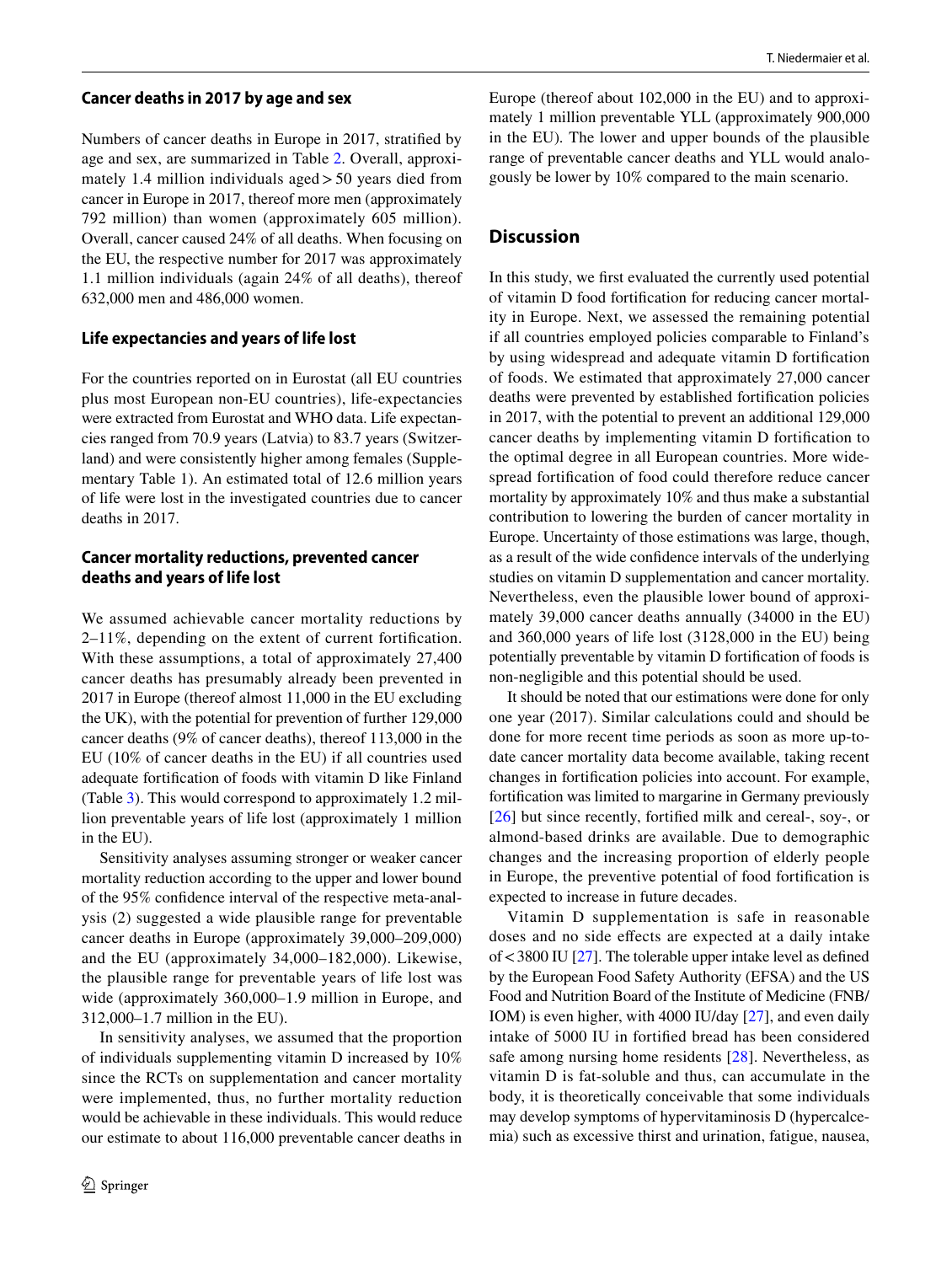#### **Cancer deaths in 2017 by age and sex**

Numbers of cancer deaths in Europe in 2017, stratifed by age and sex, are summarized in Table [2.](#page-3-0) Overall, approximately 1.4 million individuals aged>50 years died from cancer in Europe in 2017, thereof more men (approximately 792 million) than women (approximately 605 million). Overall, cancer caused 24% of all deaths. When focusing on the EU, the respective number for 2017 was approximately 1.1 million individuals (again 24% of all deaths), thereof 632,000 men and 486,000 women.

## **Life expectancies and years of life lost**

For the countries reported on in Eurostat (all EU countries plus most European non-EU countries), life-expectancies were extracted from Eurostat and WHO data. Life expectancies ranged from 70.9 years (Latvia) to 83.7 years (Switzerland) and were consistently higher among females (Supplementary Table 1). An estimated total of 12.6 million years of life were lost in the investigated countries due to cancer deaths in 2017.

# **Cancer mortality reductions, prevented cancer deaths and years of life lost**

We assumed achievable cancer mortality reductions by 2–11%, depending on the extent of current fortifcation. With these assumptions, a total of approximately 27,400 cancer deaths has presumably already been prevented in 2017 in Europe (thereof almost 11,000 in the EU excluding the UK), with the potential for prevention of further 129,000 cancer deaths (9% of cancer deaths), thereof 113,000 in the EU (10% of cancer deaths in the EU) if all countries used adequate fortifcation of foods with vitamin D like Finland (Table [3](#page-6-0)). This would correspond to approximately 1.2 million preventable years of life lost (approximately 1 million in the EU).

Sensitivity analyses assuming stronger or weaker cancer mortality reduction according to the upper and lower bound of the 95% confdence interval of the respective meta-analysis (2) suggested a wide plausible range for preventable cancer deaths in Europe (approximately 39,000–209,000) and the EU (approximately 34,000–182,000). Likewise, the plausible range for preventable years of life lost was wide (approximately 360,000–1.9 million in Europe, and 312,000–1.7 million in the EU).

In sensitivity analyses, we assumed that the proportion of individuals supplementing vitamin D increased by 10% since the RCTs on supplementation and cancer mortality were implemented, thus, no further mortality reduction would be achievable in these individuals. This would reduce our estimate to about 116,000 preventable cancer deaths in Europe (thereof about 102,000 in the EU) and to approximately 1 million preventable YLL (approximately 900,000 in the EU)*.* The lower and upper bounds of the plausible range of preventable cancer deaths and YLL would analogously be lower by 10% compared to the main scenario.

# **Discussion**

In this study, we frst evaluated the currently used potential of vitamin D food fortifcation for reducing cancer mortality in Europe. Next, we assessed the remaining potential if all countries employed policies comparable to Finland's by using widespread and adequate vitamin D fortifcation of foods. We estimated that approximately 27,000 cancer deaths were prevented by established fortifcation policies in 2017, with the potential to prevent an additional 129,000 cancer deaths by implementing vitamin D fortifcation to the optimal degree in all European countries. More widespread fortifcation of food could therefore reduce cancer mortality by approximately 10% and thus make a substantial contribution to lowering the burden of cancer mortality in Europe. Uncertainty of those estimations was large, though, as a result of the wide confdence intervals of the underlying studies on vitamin D supplementation and cancer mortality. Nevertheless, even the plausible lower bound of approximately 39,000 cancer deaths annually (34000 in the EU) and 360,000 years of life lost (3128,000 in the EU) being potentially preventable by vitamin D fortifcation of foods is non-negligible and this potential should be used.

It should be noted that our estimations were done for only one year (2017). Similar calculations could and should be done for more recent time periods as soon as more up-todate cancer mortality data become available, taking recent changes in fortifcation policies into account. For example, fortifcation was limited to margarine in Germany previously [[26\]](#page-9-19) but since recently, fortified milk and cereal-, soy-, or almond-based drinks are available. Due to demographic changes and the increasing proportion of elderly people in Europe, the preventive potential of food fortifcation is expected to increase in future decades.

Vitamin D supplementation is safe in reasonable doses and no side efects are expected at a daily intake of<3800 IU [\[27](#page-9-26)]. The tolerable upper intake level as defned by the European Food Safety Authority (EFSA) and the US Food and Nutrition Board of the Institute of Medicine (FNB/ IOM) is even higher, with 4000 IU/day [\[27](#page-9-26)], and even daily intake of 5000 IU in fortifed bread has been considered safe among nursing home residents [\[28](#page-9-27)]. Nevertheless, as vitamin D is fat-soluble and thus, can accumulate in the body, it is theoretically conceivable that some individuals may develop symptoms of hypervitaminosis D (hypercalcemia) such as excessive thirst and urination, fatigue, nausea,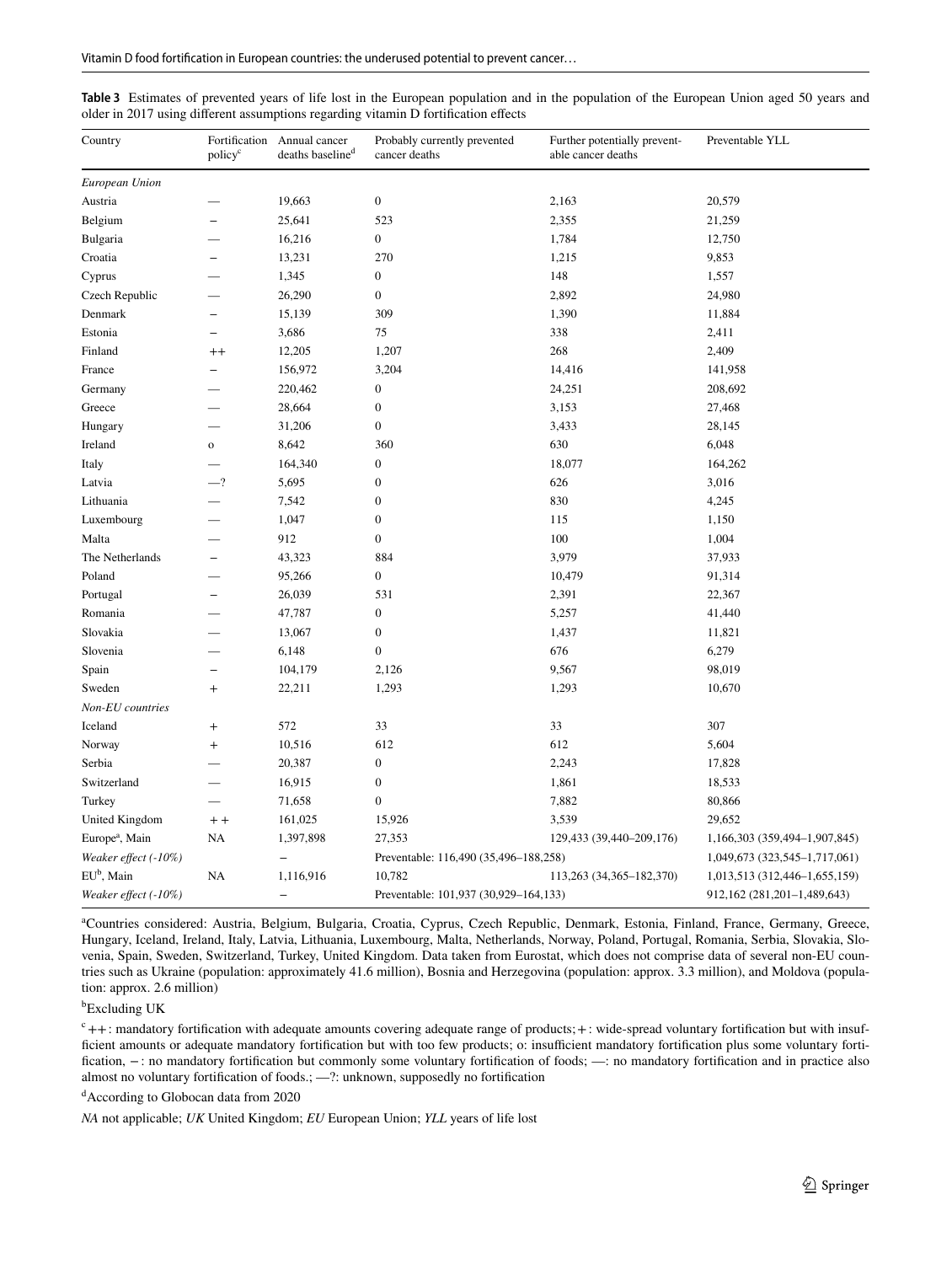| Country                    | Fortification<br>policy <sup>c</sup> | Annual cancer<br>deaths baseline <sup>d</sup> | Probably currently prevented<br>cancer deaths | Further potentially prevent-<br>able cancer deaths | Preventable YLL               |  |  |
|----------------------------|--------------------------------------|-----------------------------------------------|-----------------------------------------------|----------------------------------------------------|-------------------------------|--|--|
| European Union             |                                      |                                               |                                               |                                                    |                               |  |  |
| Austria                    |                                      | 19,663                                        | $\boldsymbol{0}$<br>2,163                     |                                                    | 20,579                        |  |  |
| Belgium                    |                                      | 25,641                                        | 523                                           | 2,355                                              |                               |  |  |
| Bulgaria                   |                                      | 16,216                                        | $\boldsymbol{0}$                              | 1,784                                              | 12,750                        |  |  |
| Croatia                    | $\overline{\phantom{0}}$             | 13,231                                        | 270                                           | 1,215                                              | 9,853                         |  |  |
| Cyprus                     |                                      | 1,345                                         | $\boldsymbol{0}$                              | 148                                                | 1,557                         |  |  |
| Czech Republic             |                                      | 26,290                                        | $\boldsymbol{0}$                              | 2,892                                              | 24,980                        |  |  |
| Denmark                    | L.                                   | 15,139                                        | 309                                           | 1,390                                              | 11,884                        |  |  |
| Estonia                    | L,                                   | 3,686                                         | 75                                            | 338                                                | 2,411                         |  |  |
| Finland                    | $^{++}$                              | 12,205                                        | 1,207                                         | 268                                                | 2,409                         |  |  |
| France                     |                                      | 156,972                                       | 3,204                                         | 14,416                                             | 141,958                       |  |  |
| Germany                    |                                      | 220,462                                       | $\boldsymbol{0}$                              | 24,251                                             | 208,692                       |  |  |
| Greece                     |                                      | 28,664                                        | $\boldsymbol{0}$                              | 3,153                                              | 27,468                        |  |  |
| Hungary                    |                                      | 31,206                                        | $\boldsymbol{0}$                              | 3,433                                              | 28,145                        |  |  |
| Ireland                    | $\mathbf{o}$                         | 8,642                                         | 360                                           | 630                                                | 6,048                         |  |  |
| Italy                      |                                      | 164,340                                       | $\boldsymbol{0}$                              | 18,077                                             | 164,262                       |  |  |
| Latvia                     | $-2$                                 | 5,695                                         | $\boldsymbol{0}$                              | 626                                                | 3,016                         |  |  |
| Lithuania                  |                                      | 7,542                                         | $\boldsymbol{0}$                              | 830                                                | 4,245                         |  |  |
| Luxembourg                 |                                      | 1,047                                         | $\boldsymbol{0}$                              | 115                                                | 1,150                         |  |  |
| Malta                      |                                      | 912                                           | $\boldsymbol{0}$                              | 100                                                | 1,004                         |  |  |
| The Netherlands            |                                      | 43,323                                        | 884                                           | 3,979                                              | 37,933                        |  |  |
| Poland                     |                                      | 95,266                                        | $\boldsymbol{0}$                              | 10,479                                             | 91,314                        |  |  |
| Portugal                   | ÷                                    | 26,039                                        | 531                                           | 2,391                                              | 22,367                        |  |  |
| Romania                    |                                      | 47,787                                        | $\boldsymbol{0}$                              | 5,257                                              | 41,440                        |  |  |
| Slovakia                   |                                      | 13,067                                        | $\boldsymbol{0}$                              | 1,437                                              | 11,821                        |  |  |
| Slovenia                   |                                      | 6,148                                         | $\boldsymbol{0}$                              | 676                                                | 6,279                         |  |  |
| Spain                      | ÷                                    | 104,179                                       | 2,126                                         | 9,567                                              | 98,019                        |  |  |
| Sweden                     | $^{+}$                               | 22,211                                        | 1,293                                         | 1,293                                              | 10,670                        |  |  |
| Non-EU countries           |                                      |                                               |                                               |                                                    |                               |  |  |
| Iceland                    | $^{+}$                               | 572                                           | 33                                            | 33                                                 | 307                           |  |  |
| Norway                     | $^{+}$                               | 10,516                                        | 612                                           | 612                                                | 5,604                         |  |  |
| Serbia                     |                                      | 20,387                                        | $\boldsymbol{0}$                              | 2,243                                              | 17,828                        |  |  |
| Switzerland                |                                      | 16,915                                        | $\boldsymbol{0}$                              | 1,861                                              | 18,533                        |  |  |
| Turkey                     |                                      | 71,658                                        | $\boldsymbol{0}$                              | 7,882                                              | 80,866                        |  |  |
| United Kingdom             | $+ +$                                | 161,025                                       | 15,926                                        | 3,539                                              | 29,652                        |  |  |
| Europe <sup>a</sup> , Main | NA                                   | 1,397,898                                     | 27,353                                        | 129,433 (39,440-209,176)                           | 1,166,303 (359,494-1,907,845) |  |  |
| Weaker effect (-10%)       |                                      |                                               | Preventable: 116,490 (35,496-188,258)         |                                                    | 1,049,673 (323,545-1,717,061) |  |  |
| EU <sup>b</sup> , Main     | NA                                   | 1,116,916                                     | 10,782                                        | 113,263 (34,365-182,370)                           | 1,013,513 (312,446-1,655,159) |  |  |
| Weaker effect (-10%)       |                                      | $\overline{\phantom{0}}$                      | Preventable: 101,937 (30,929-164,133)         |                                                    | 912,162 (281,201-1,489,643)   |  |  |

<span id="page-6-0"></span>

| Table 3 Estimates of prevented years of life lost in the European population and in the population of the European Union aged 50 years and |  |  |  |  |  |  |
|--------------------------------------------------------------------------------------------------------------------------------------------|--|--|--|--|--|--|
| older in 2017 using different assumptions regarding vitamin D fortification effects                                                        |  |  |  |  |  |  |

a Countries considered: Austria, Belgium, Bulgaria, Croatia, Cyprus, Czech Republic, Denmark, Estonia, Finland, France, Germany, Greece, Hungary, Iceland, Ireland, Italy, Latvia, Lithuania, Luxembourg, Malta, Netherlands, Norway, Poland, Portugal, Romania, Serbia, Slovakia, Slovenia, Spain, Sweden, Switzerland, Turkey, United Kingdom. Data taken from Eurostat, which does not comprise data of several non-EU countries such as Ukraine (population: approximately 41.6 million), Bosnia and Herzegovina (population: approx. 3.3 million), and Moldova (population: approx. 2.6 million)

b Excluding UK

 $c_{++}$ : mandatory fortification with adequate amounts covering adequate range of products; + : wide-spread voluntary fortification but with insufficient amounts or adequate mandatory fortification but with too few products; o: insufficient mandatory fortification plus some voluntary fortifcation, −: no mandatory fortifcation but commonly some voluntary fortifcation of foods; —: no mandatory fortifcation and in practice also almost no voluntary fortifcation of foods.; —?: unknown, supposedly no fortifcation

d According to Globocan data from 2020

*NA* not applicable; *UK* United Kingdom; *EU* European Union; *YLL* years of life lost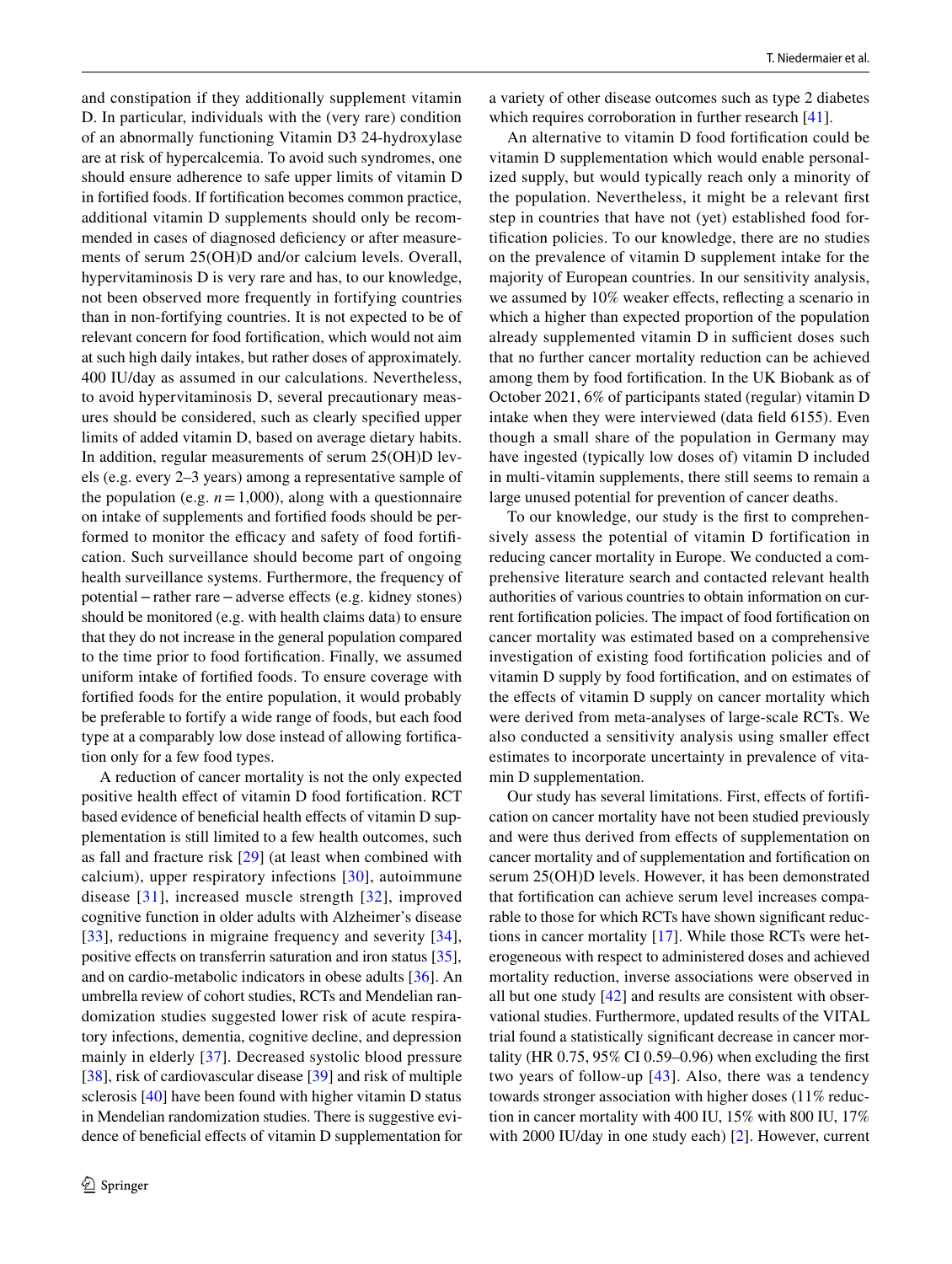and constipation if they additionally supplement vitamin D. In particular, individuals with the (very rare) condition of an abnormally functioning Vitamin D3 24-hydroxylase are at risk of hypercalcemia. To avoid such syndromes, one should ensure adherence to safe upper limits of vitamin D in fortifed foods. If fortifcation becomes common practice, additional vitamin D supplements should only be recommended in cases of diagnosed deficiency or after measurements of serum 25(OH)D and/or calcium levels. Overall, hypervitaminosis D is very rare and has, to our knowledge, not been observed more frequently in fortifying countries than in non-fortifying countries. It is not expected to be of relevant concern for food fortifcation, which would not aim at such high daily intakes, but rather doses of approximately. 400 IU/day as assumed in our calculations. Nevertheless, to avoid hypervitaminosis D, several precautionary measures should be considered, such as clearly specifed upper limits of added vitamin D, based on average dietary habits. In addition, regular measurements of serum 25(OH)D levels (e.g. every 2–3 years) among a representative sample of the population (e.g.  $n = 1,000$ ), along with a questionnaire on intake of supplements and fortifed foods should be performed to monitor the efficacy and safety of food fortification. Such surveillance should become part of ongoing health surveillance systems. Furthermore, the frequency of potential−rather rare−adverse efects (e.g. kidney stones) should be monitored (e.g. with health claims data) to ensure that they do not increase in the general population compared to the time prior to food fortifcation. Finally, we assumed uniform intake of fortifed foods. To ensure coverage with fortifed foods for the entire population, it would probably be preferable to fortify a wide range of foods, but each food type at a comparably low dose instead of allowing fortifcation only for a few food types.

A reduction of cancer mortality is not the only expected positive health efect of vitamin D food fortifcation. RCT based evidence of beneficial health effects of vitamin D supplementation is still limited to a few health outcomes, such as fall and fracture risk [\[29](#page-9-28)] (at least when combined with calcium), upper respiratory infections [\[30\]](#page-9-29), autoimmune disease [[31\]](#page-10-15), increased muscle strength [[32](#page-10-16)], improved cognitive function in older adults with Alzheimer's disease [[33\]](#page-10-17), reductions in migraine frequency and severity [[34](#page-10-18)], positive effects on transferrin saturation and iron status [\[35](#page-10-19)], and on cardio-metabolic indicators in obese adults [[36\]](#page-10-20). An umbrella review of cohort studies, RCTs and Mendelian randomization studies suggested lower risk of acute respiratory infections, dementia, cognitive decline, and depression mainly in elderly [[37\]](#page-10-21). Decreased systolic blood pressure [\[38](#page-10-22)], risk of cardiovascular disease [\[39](#page-10-23)] and risk of multiple sclerosis [\[40\]](#page-10-24) have been found with higher vitamin D status in Mendelian randomization studies. There is suggestive evidence of benefcial efects of vitamin D supplementation for a variety of other disease outcomes such as type 2 diabetes which requires corroboration in further research [[41\]](#page-10-25).

An alternative to vitamin D food fortifcation could be vitamin D supplementation which would enable personalized supply, but would typically reach only a minority of the population. Nevertheless, it might be a relevant frst step in countries that have not (yet) established food fortifcation policies. To our knowledge, there are no studies on the prevalence of vitamin D supplement intake for the majority of European countries. In our sensitivity analysis, we assumed by 10% weaker effects, reflecting a scenario in which a higher than expected proportion of the population already supplemented vitamin D in sufficient doses such that no further cancer mortality reduction can be achieved among them by food fortifcation. In the UK Biobank as of October 2021, 6% of participants stated (regular) vitamin D intake when they were interviewed (data feld 6155). Even though a small share of the population in Germany may have ingested (typically low doses of) vitamin D included in multi-vitamin supplements, there still seems to remain a large unused potential for prevention of cancer deaths.

To our knowledge, our study is the frst to comprehensively assess the potential of vitamin D fortification in reducing cancer mortality in Europe. We conducted a comprehensive literature search and contacted relevant health authorities of various countries to obtain information on current fortifcation policies. The impact of food fortifcation on cancer mortality was estimated based on a comprehensive investigation of existing food fortifcation policies and of vitamin D supply by food fortifcation, and on estimates of the effects of vitamin D supply on cancer mortality which were derived from meta-analyses of large-scale RCTs. We also conducted a sensitivity analysis using smaller efect estimates to incorporate uncertainty in prevalence of vitamin D supplementation.

Our study has several limitations. First, efects of fortifcation on cancer mortality have not been studied previously and were thus derived from efects of supplementation on cancer mortality and of supplementation and fortifcation on serum 25(OH)D levels. However, it has been demonstrated that fortifcation can achieve serum level increases comparable to those for which RCTs have shown signifcant reductions in cancer mortality [\[17](#page-9-16)]. While those RCTs were heterogeneous with respect to administered doses and achieved mortality reduction, inverse associations were observed in all but one study [[42](#page-10-26)] and results are consistent with observational studies. Furthermore, updated results of the VITAL trial found a statistically signifcant decrease in cancer mortality (HR 0.75, 95% CI 0.59–0.96) when excluding the frst two years of follow-up [\[43\]](#page-10-27). Also, there was a tendency towards stronger association with higher doses (11% reduction in cancer mortality with 400 IU, 15% with 800 IU, 17% with 2000 IU/day in one study each) [[2\]](#page-9-1). However, current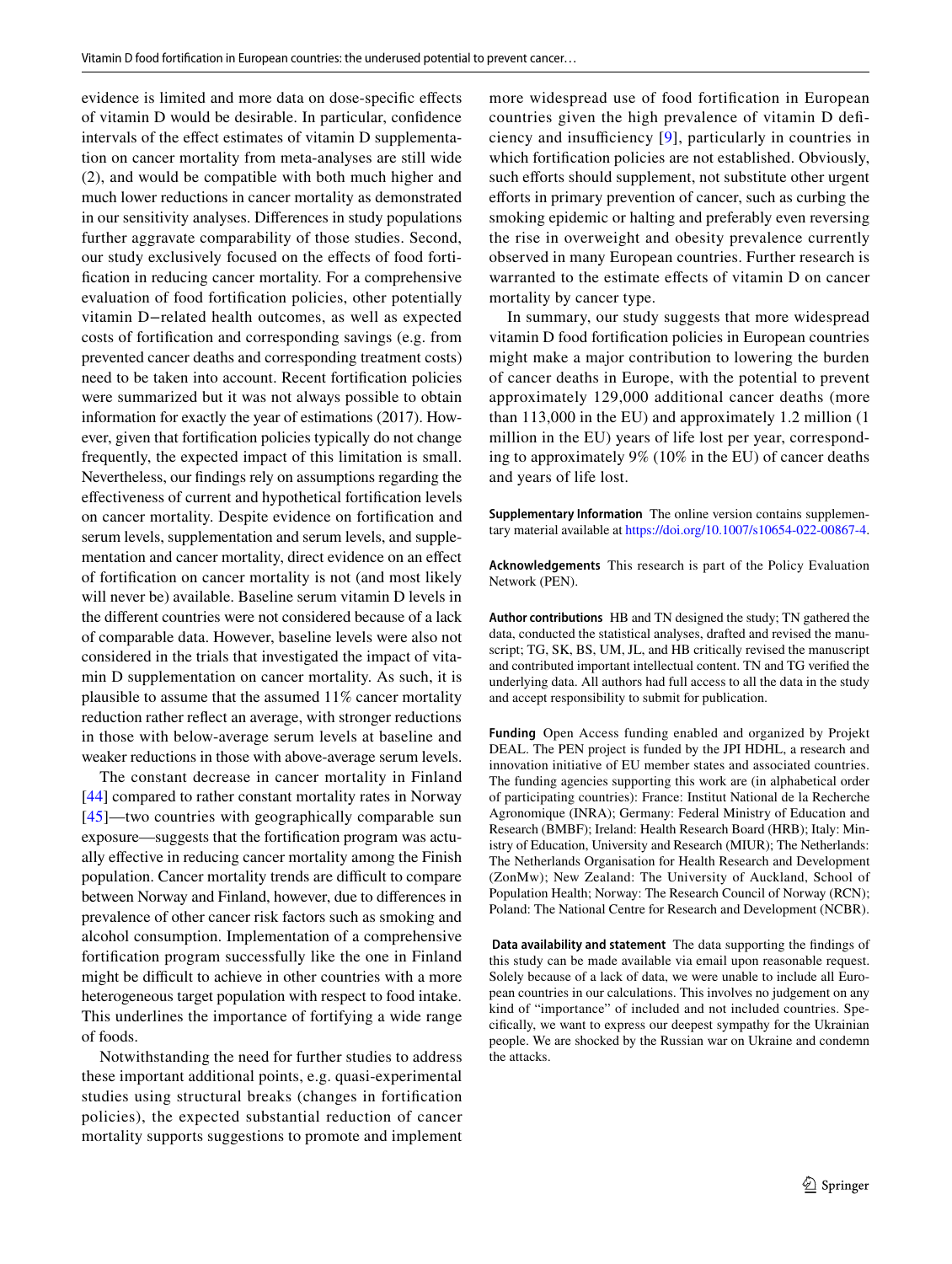evidence is limited and more data on dose-specifc efects of vitamin D would be desirable. In particular, confdence intervals of the efect estimates of vitamin D supplementation on cancer mortality from meta-analyses are still wide (2), and would be compatible with both much higher and much lower reductions in cancer mortality as demonstrated in our sensitivity analyses. Diferences in study populations further aggravate comparability of those studies. Second, our study exclusively focused on the efects of food fortifcation in reducing cancer mortality. For a comprehensive evaluation of food fortifcation policies, other potentially vitamin D−related health outcomes, as well as expected costs of fortifcation and corresponding savings (e.g. from prevented cancer deaths and corresponding treatment costs) need to be taken into account. Recent fortifcation policies were summarized but it was not always possible to obtain information for exactly the year of estimations (2017). However, given that fortifcation policies typically do not change frequently, the expected impact of this limitation is small. Nevertheless, our fndings rely on assumptions regarding the efectiveness of current and hypothetical fortifcation levels on cancer mortality. Despite evidence on fortifcation and serum levels, supplementation and serum levels, and supplementation and cancer mortality, direct evidence on an efect of fortifcation on cancer mortality is not (and most likely will never be) available. Baseline serum vitamin D levels in the diferent countries were not considered because of a lack of comparable data. However, baseline levels were also not considered in the trials that investigated the impact of vitamin D supplementation on cancer mortality. As such, it is plausible to assume that the assumed 11% cancer mortality reduction rather refect an average, with stronger reductions in those with below-average serum levels at baseline and weaker reductions in those with above-average serum levels.

The constant decrease in cancer mortality in Finland [\[44\]](#page-10-28) compared to rather constant mortality rates in Norway [[45\]](#page-10-29)—two countries with geographically comparable sun exposure—suggests that the fortifcation program was actually efective in reducing cancer mortality among the Finish population. Cancer mortality trends are difficult to compare between Norway and Finland, however, due to diferences in prevalence of other cancer risk factors such as smoking and alcohol consumption. Implementation of a comprehensive fortifcation program successfully like the one in Finland might be difficult to achieve in other countries with a more heterogeneous target population with respect to food intake. This underlines the importance of fortifying a wide range of foods.

Notwithstanding the need for further studies to address these important additional points, e.g. quasi-experimental studies using structural breaks (changes in fortifcation policies), the expected substantial reduction of cancer mortality supports suggestions to promote and implement more widespread use of food fortifcation in European countries given the high prevalence of vitamin D defciency and insufficiency  $[9]$  $[9]$ , particularly in countries in which fortifcation policies are not established. Obviously, such efforts should supplement, not substitute other urgent eforts in primary prevention of cancer, such as curbing the smoking epidemic or halting and preferably even reversing the rise in overweight and obesity prevalence currently observed in many European countries. Further research is warranted to the estimate effects of vitamin D on cancer mortality by cancer type.

In summary, our study suggests that more widespread vitamin D food fortifcation policies in European countries might make a major contribution to lowering the burden of cancer deaths in Europe, with the potential to prevent approximately 129,000 additional cancer deaths (more than 113,000 in the EU) and approximately 1.2 million (1 million in the EU) years of life lost per year, corresponding to approximately 9% (10% in the EU) of cancer deaths and years of life lost.

**Supplementary Information** The online version contains supplementary material available at<https://doi.org/10.1007/s10654-022-00867-4>.

**Acknowledgements** This research is part of the Policy Evaluation Network (PEN).

**Author contributions** HB and TN designed the study; TN gathered the data, conducted the statistical analyses, drafted and revised the manuscript; TG, SK, BS, UM, JL, and HB critically revised the manuscript and contributed important intellectual content. TN and TG verifed the underlying data. All authors had full access to all the data in the study and accept responsibility to submit for publication.

**Funding** Open Access funding enabled and organized by Projekt DEAL. The PEN project is funded by the JPI HDHL, a research and innovation initiative of EU member states and associated countries. The funding agencies supporting this work are (in alphabetical order of participating countries): France: Institut National de la Recherche Agronomique (INRA); Germany: Federal Ministry of Education and Research (BMBF); Ireland: Health Research Board (HRB); Italy: Ministry of Education, University and Research (MIUR); The Netherlands: The Netherlands Organisation for Health Research and Development (ZonMw); New Zealand: The University of Auckland, School of Population Health; Norway: The Research Council of Norway (RCN); Poland: The National Centre for Research and Development (NCBR).

 **Data availability and statement** The data supporting the fndings of this study can be made available via email upon reasonable request. Solely because of a lack of data, we were unable to include all European countries in our calculations. This involves no judgement on any kind of "importance" of included and not included countries. Specifcally, we want to express our deepest sympathy for the Ukrainian people. We are shocked by the Russian war on Ukraine and condemn the attacks.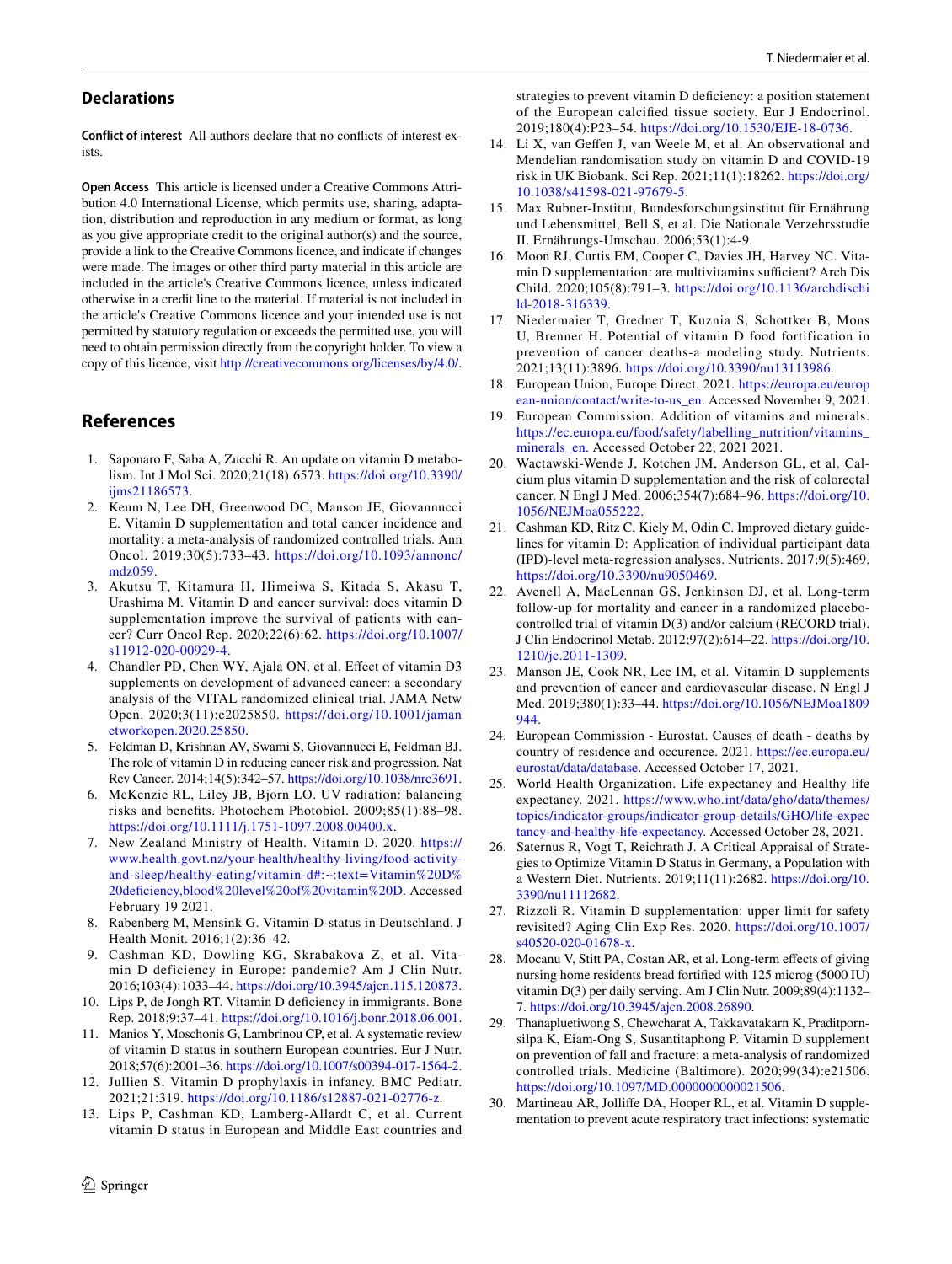#### **Declarations**

**Conflict of interest** All authors declare that no conficts of interest exists.

**Open Access** This article is licensed under a Creative Commons Attribution 4.0 International License, which permits use, sharing, adaptation, distribution and reproduction in any medium or format, as long as you give appropriate credit to the original author(s) and the source, provide a link to the Creative Commons licence, and indicate if changes were made. The images or other third party material in this article are included in the article's Creative Commons licence, unless indicated otherwise in a credit line to the material. If material is not included in the article's Creative Commons licence and your intended use is not permitted by statutory regulation or exceeds the permitted use, you will need to obtain permission directly from the copyright holder. To view a copy of this licence, visit <http://creativecommons.org/licenses/by/4.0/>.

## **References**

- <span id="page-9-0"></span>1. Saponaro F, Saba A, Zucchi R. An update on vitamin D metabolism. Int J Mol Sci. 2020;21(18):6573. [https://doi.org/10.3390/](https://doi.org/10.3390/ijms21186573) [ijms21186573](https://doi.org/10.3390/ijms21186573).
- <span id="page-9-1"></span>2. Keum N, Lee DH, Greenwood DC, Manson JE, Giovannucci E. Vitamin D supplementation and total cancer incidence and mortality: a meta-analysis of randomized controlled trials. Ann Oncol. 2019;30(5):733–43. [https://doi.org/10.1093/annonc/](https://doi.org/10.1093/annonc/mdz059) [mdz059](https://doi.org/10.1093/annonc/mdz059).
- <span id="page-9-2"></span>3. Akutsu T, Kitamura H, Himeiwa S, Kitada S, Akasu T, Urashima M. Vitamin D and cancer survival: does vitamin D supplementation improve the survival of patients with cancer? Curr Oncol Rep. 2020;22(6):62. [https://doi.org/10.1007/](https://doi.org/10.1007/s11912-020-00929-4) [s11912-020-00929-4](https://doi.org/10.1007/s11912-020-00929-4).
- <span id="page-9-3"></span>4. Chandler PD, Chen WY, Ajala ON, et al. Efect of vitamin D3 supplements on development of advanced cancer: a secondary analysis of the VITAL randomized clinical trial. JAMA Netw Open. 2020;3(11):e2025850. [https://doi.org/10.1001/jaman](https://doi.org/10.1001/jamanetworkopen.2020.25850) [etworkopen.2020.25850.](https://doi.org/10.1001/jamanetworkopen.2020.25850)
- <span id="page-9-4"></span>5. Feldman D, Krishnan AV, Swami S, Giovannucci E, Feldman BJ. The role of vitamin D in reducing cancer risk and progression. Nat Rev Cancer. 2014;14(5):342–57. [https://doi.org/10.1038/nrc3691.](https://doi.org/10.1038/nrc3691)
- <span id="page-9-5"></span>6. McKenzie RL, Liley JB, Bjorn LO. UV radiation: balancing risks and benefts. Photochem Photobiol. 2009;85(1):88–98. <https://doi.org/10.1111/j.1751-1097.2008.00400.x>.
- <span id="page-9-6"></span>7. New Zealand Ministry of Health. Vitamin D. 2020. [https://](https://www.health.govt.nz/your-health/healthy-living/food-activity-and-sleep/healthy-eating/vitamin-d#:~:text=Vitamin%20D%20deficiency,blood%20level%20of%20vitamin%20D) [www.health.govt.nz/your-health/healthy-living/food-activity](https://www.health.govt.nz/your-health/healthy-living/food-activity-and-sleep/healthy-eating/vitamin-d#:~:text=Vitamin%20D%20deficiency,blood%20level%20of%20vitamin%20D)[and-sleep/healthy-eating/vitamin-d#:~:text=Vitamin%20D%](https://www.health.govt.nz/your-health/healthy-living/food-activity-and-sleep/healthy-eating/vitamin-d#:~:text=Vitamin%20D%20deficiency,blood%20level%20of%20vitamin%20D) [20deficiency,blood%20level%20of%20vitamin%20D](https://www.health.govt.nz/your-health/healthy-living/food-activity-and-sleep/healthy-eating/vitamin-d#:~:text=Vitamin%20D%20deficiency,blood%20level%20of%20vitamin%20D). Accessed February 19 2021.
- <span id="page-9-7"></span>8. Rabenberg M, Mensink G. Vitamin-D-status in Deutschland. J Health Monit. 2016;1(2):36–42.
- <span id="page-9-8"></span>9. Cashman KD, Dowling KG, Skrabakova Z, et al. Vitamin D deficiency in Europe: pandemic? Am J Clin Nutr. 2016;103(4):1033–44.<https://doi.org/10.3945/ajcn.115.120873>.
- <span id="page-9-9"></span>10. Lips P, de Jongh RT. Vitamin D defciency in immigrants. Bone Rep. 2018;9:37–41.<https://doi.org/10.1016/j.bonr.2018.06.001>.
- <span id="page-9-10"></span>11. Manios Y, Moschonis G, Lambrinou CP, et al. A systematic review of vitamin D status in southern European countries. Eur J Nutr. 2018;57(6):2001–36.<https://doi.org/10.1007/s00394-017-1564-2>.
- <span id="page-9-11"></span>12. Jullien S. Vitamin D prophylaxis in infancy. BMC Pediatr. 2021;21:319.<https://doi.org/10.1186/s12887-021-02776-z>.
- <span id="page-9-12"></span>13. Lips P, Cashman KD, Lamberg-Allardt C, et al. Current vitamin D status in European and Middle East countries and

strategies to prevent vitamin D defciency: a position statement of the European calcifed tissue society. Eur J Endocrinol. 2019;180(4):P23–54. <https://doi.org/10.1530/EJE-18-0736>.

- <span id="page-9-13"></span>14. Li X, van Gefen J, van Weele M, et al. An observational and Mendelian randomisation study on vitamin D and COVID-19 risk in UK Biobank. Sci Rep. 2021;11(1):18262. [https://doi.org/](https://doi.org/10.1038/s41598-021-97679-5) [10.1038/s41598-021-97679-5.](https://doi.org/10.1038/s41598-021-97679-5)
- <span id="page-9-14"></span>15. Max Rubner-Institut, Bundesforschungsinstitut für Ernährung und Lebensmittel, Bell S, et al. Die Nationale Verzehrsstudie II. Ernährungs-Umschau. 2006;53(1):4-9.
- <span id="page-9-15"></span>16. Moon RJ, Curtis EM, Cooper C, Davies JH, Harvey NC. Vitamin D supplementation: are multivitamins sufficient? Arch Dis Child. 2020;105(8):791–3. [https://doi.org/10.1136/archdischi](https://doi.org/10.1136/archdischild-2018-316339) [ld-2018-316339](https://doi.org/10.1136/archdischild-2018-316339).
- <span id="page-9-16"></span>17. Niedermaier T, Gredner T, Kuznia S, Schottker B, Mons U, Brenner H. Potential of vitamin D food fortification in prevention of cancer deaths-a modeling study. Nutrients. 2021;13(11):3896. [https://doi.org/10.3390/nu13113986.](https://doi.org/10.3390/nu13113986)
- <span id="page-9-17"></span>18. European Union, Europe Direct. 2021. [https://europa.eu/europ](https://europa.eu/european-union/contact/write-to-us_en) [ean-union/contact/write-to-us\\_en](https://europa.eu/european-union/contact/write-to-us_en). Accessed November 9, 2021.
- <span id="page-9-18"></span>19. European Commission. Addition of vitamins and minerals. [https://ec.europa.eu/food/safety/labelling\\_nutrition/vitamins\\_](https://ec.europa.eu/food/safety/labelling_nutrition/vitamins_minerals_en) [minerals\\_en](https://ec.europa.eu/food/safety/labelling_nutrition/vitamins_minerals_en). Accessed October 22, 2021 2021.
- <span id="page-9-20"></span>20. Wactawski-Wende J, Kotchen JM, Anderson GL, et al. Calcium plus vitamin D supplementation and the risk of colorectal cancer. N Engl J Med. 2006;354(7):684–96. [https://doi.org/10.](https://doi.org/10.1056/NEJMoa055222) [1056/NEJMoa055222.](https://doi.org/10.1056/NEJMoa055222)
- <span id="page-9-21"></span>21. Cashman KD, Ritz C, Kiely M, Odin C. Improved dietary guidelines for vitamin D: Application of individual participant data (IPD)-level meta-regression analyses. Nutrients. 2017;9(5):469. [https://doi.org/10.3390/nu9050469.](https://doi.org/10.3390/nu9050469)
- <span id="page-9-22"></span>22. Avenell A, MacLennan GS, Jenkinson DJ, et al. Long-term follow-up for mortality and cancer in a randomized placebocontrolled trial of vitamin D(3) and/or calcium (RECORD trial). J Clin Endocrinol Metab. 2012;97(2):614–22. [https://doi.org/10.](https://doi.org/10.1210/jc.2011-1309) [1210/jc.2011-1309](https://doi.org/10.1210/jc.2011-1309).
- <span id="page-9-23"></span>23. Manson JE, Cook NR, Lee IM, et al. Vitamin D supplements and prevention of cancer and cardiovascular disease. N Engl J Med. 2019;380(1):33–44. [https://doi.org/10.1056/NEJMoa1809](https://doi.org/10.1056/NEJMoa1809944) [944](https://doi.org/10.1056/NEJMoa1809944).
- <span id="page-9-24"></span>24. European Commission - Eurostat. Causes of death - deaths by country of residence and occurence. 2021. [https://ec.europa.eu/](https://ec.europa.eu/eurostat/data/database) [eurostat/data/database](https://ec.europa.eu/eurostat/data/database). Accessed October 17, 2021.
- <span id="page-9-25"></span>25. World Health Organization. Life expectancy and Healthy life expectancy. 2021. [https://www.who.int/data/gho/data/themes/](https://www.who.int/data/gho/data/themes/topics/indicator-groups/indicator-group-details/GHO/life-expectancy-and-healthy-life-expectancy) [topics/indicator-groups/indicator-group-details/GHO/life-expec](https://www.who.int/data/gho/data/themes/topics/indicator-groups/indicator-group-details/GHO/life-expectancy-and-healthy-life-expectancy) [tancy-and-healthy-life-expectancy.](https://www.who.int/data/gho/data/themes/topics/indicator-groups/indicator-group-details/GHO/life-expectancy-and-healthy-life-expectancy) Accessed October 28, 2021.
- <span id="page-9-19"></span>26. Saternus R, Vogt T, Reichrath J. A Critical Appraisal of Strategies to Optimize Vitamin D Status in Germany, a Population with a Western Diet. Nutrients. 2019;11(11):2682. [https://doi.org/10.](https://doi.org/10.3390/nu11112682) [3390/nu11112682.](https://doi.org/10.3390/nu11112682)
- <span id="page-9-26"></span>27. Rizzoli R. Vitamin D supplementation: upper limit for safety revisited? Aging Clin Exp Res. 2020. [https://doi.org/10.1007/](https://doi.org/10.1007/s40520-020-01678-x) [s40520-020-01678-x](https://doi.org/10.1007/s40520-020-01678-x).
- <span id="page-9-27"></span>28. Mocanu V, Stitt PA, Costan AR, et al. Long-term efects of giving nursing home residents bread fortifed with 125 microg (5000 IU) vitamin D(3) per daily serving. Am J Clin Nutr. 2009;89(4):1132– 7. <https://doi.org/10.3945/ajcn.2008.26890>.
- <span id="page-9-28"></span>29. Thanapluetiwong S, Chewcharat A, Takkavatakarn K, Praditpornsilpa K, Eiam-Ong S, Susantitaphong P. Vitamin D supplement on prevention of fall and fracture: a meta-analysis of randomized controlled trials. Medicine (Baltimore). 2020;99(34):e21506. <https://doi.org/10.1097/MD.0000000000021506>.
- <span id="page-9-29"></span>30. Martineau AR, Jollife DA, Hooper RL, et al. Vitamin D supplementation to prevent acute respiratory tract infections: systematic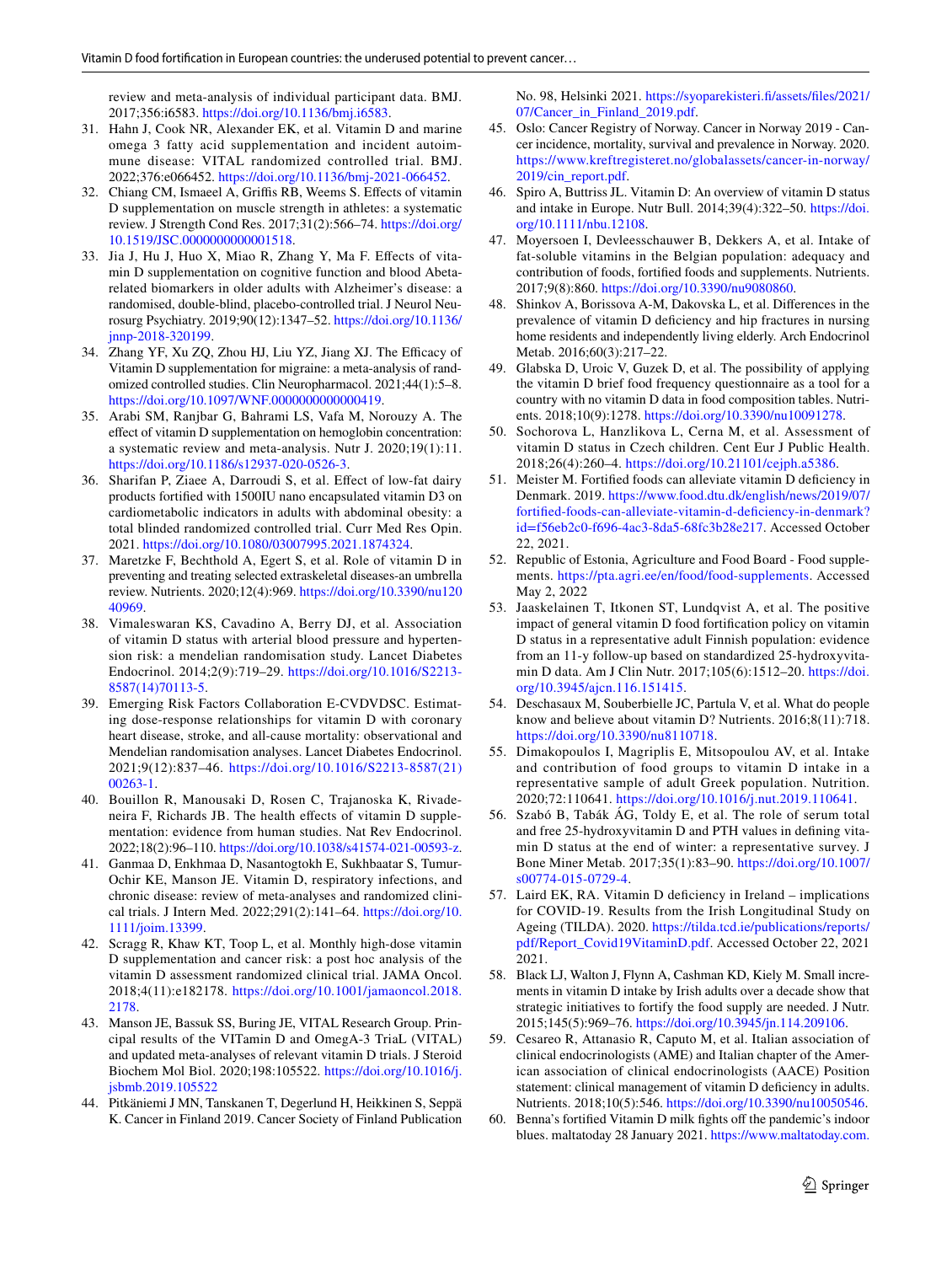review and meta-analysis of individual participant data. BMJ. 2017;356:i6583. [https://doi.org/10.1136/bmj.i6583.](https://doi.org/10.1136/bmj.i6583)

- <span id="page-10-15"></span>31. Hahn J, Cook NR, Alexander EK, et al. Vitamin D and marine omega 3 fatty acid supplementation and incident autoimmune disease: VITAL randomized controlled trial. BMJ. 2022;376:e066452. [https://doi.org/10.1136/bmj-2021-066452.](https://doi.org/10.1136/bmj-2021-066452)
- <span id="page-10-16"></span>32. Chiang CM, Ismaeel A, Grifs RB, Weems S. Efects of vitamin D supplementation on muscle strength in athletes: a systematic review. J Strength Cond Res. 2017;31(2):566–74. [https://doi.org/](https://doi.org/10.1519/JSC.0000000000001518) [10.1519/JSC.0000000000001518.](https://doi.org/10.1519/JSC.0000000000001518)
- <span id="page-10-17"></span>33. Jia J, Hu J, Huo X, Miao R, Zhang Y, Ma F. Efects of vitamin D supplementation on cognitive function and blood Abetarelated biomarkers in older adults with Alzheimer's disease: a randomised, double-blind, placebo-controlled trial. J Neurol Neurosurg Psychiatry. 2019;90(12):1347–52. [https://doi.org/10.1136/](https://doi.org/10.1136/jnnp-2018-320199) [jnnp-2018-320199.](https://doi.org/10.1136/jnnp-2018-320199)
- <span id="page-10-18"></span>34. Zhang YF, Xu ZQ, Zhou HJ, Liu YZ, Jiang XJ. The Efficacy of Vitamin D supplementation for migraine: a meta-analysis of randomized controlled studies. Clin Neuropharmacol. 2021;44(1):5–8. [https://doi.org/10.1097/WNF.0000000000000419.](https://doi.org/10.1097/WNF.0000000000000419)
- <span id="page-10-19"></span>35. Arabi SM, Ranjbar G, Bahrami LS, Vafa M, Norouzy A. The efect of vitamin D supplementation on hemoglobin concentration: a systematic review and meta-analysis. Nutr J. 2020;19(1):11. [https://doi.org/10.1186/s12937-020-0526-3.](https://doi.org/10.1186/s12937-020-0526-3)
- <span id="page-10-20"></span>36. Sharifan P, Ziaee A, Darroudi S, et al. Efect of low-fat dairy products fortifed with 1500IU nano encapsulated vitamin D3 on cardiometabolic indicators in adults with abdominal obesity: a total blinded randomized controlled trial. Curr Med Res Opin. 2021.<https://doi.org/10.1080/03007995.2021.1874324>.
- <span id="page-10-21"></span>37. Maretzke F, Bechthold A, Egert S, et al. Role of vitamin D in preventing and treating selected extraskeletal diseases-an umbrella review. Nutrients. 2020;12(4):969. [https://doi.org/10.3390/nu120](https://doi.org/10.3390/nu12040969) [40969](https://doi.org/10.3390/nu12040969).
- <span id="page-10-22"></span>38. Vimaleswaran KS, Cavadino A, Berry DJ, et al. Association of vitamin D status with arterial blood pressure and hypertension risk: a mendelian randomisation study. Lancet Diabetes Endocrinol. 2014;2(9):719–29. [https://doi.org/10.1016/S2213-](https://doi.org/10.1016/S2213-8587(14)70113-5) [8587\(14\)70113-5](https://doi.org/10.1016/S2213-8587(14)70113-5).
- <span id="page-10-23"></span>39. Emerging Risk Factors Collaboration E-CVDVDSC. Estimating dose-response relationships for vitamin D with coronary heart disease, stroke, and all-cause mortality: observational and Mendelian randomisation analyses. Lancet Diabetes Endocrinol. 2021;9(12):837–46. [https://doi.org/10.1016/S2213-8587\(21\)](https://doi.org/10.1016/S2213-8587(21)00263-1) [00263-1.](https://doi.org/10.1016/S2213-8587(21)00263-1)
- <span id="page-10-24"></span>40. Bouillon R, Manousaki D, Rosen C, Trajanoska K, Rivadeneira F, Richards JB. The health efects of vitamin D supplementation: evidence from human studies. Nat Rev Endocrinol. 2022;18(2):96–110.<https://doi.org/10.1038/s41574-021-00593-z>.
- <span id="page-10-25"></span>41. Ganmaa D, Enkhmaa D, Nasantogtokh E, Sukhbaatar S, Tumur-Ochir KE, Manson JE. Vitamin D, respiratory infections, and chronic disease: review of meta-analyses and randomized clinical trials. J Intern Med. 2022;291(2):141–64. [https://doi.org/10.](https://doi.org/10.1111/joim.13399) [1111/joim.13399.](https://doi.org/10.1111/joim.13399)
- <span id="page-10-26"></span>42. Scragg R, Khaw KT, Toop L, et al. Monthly high-dose vitamin D supplementation and cancer risk: a post hoc analysis of the vitamin D assessment randomized clinical trial. JAMA Oncol. 2018;4(11):e182178. [https://doi.org/10.1001/jamaoncol.2018.](https://doi.org/10.1001/jamaoncol.2018.2178) [2178](https://doi.org/10.1001/jamaoncol.2018.2178).
- <span id="page-10-27"></span>43. Manson JE, Bassuk SS, Buring JE, VITAL Research Group. Principal results of the VITamin D and OmegA-3 TriaL (VITAL) and updated meta-analyses of relevant vitamin D trials. J Steroid Biochem Mol Biol. 2020;198:105522. [https://doi.org/10.1016/j.](https://doi.org/10.1016/j.jsbmb.2019.105522) [jsbmb.2019.105522](https://doi.org/10.1016/j.jsbmb.2019.105522)
- <span id="page-10-28"></span>44. Pitkäniemi J MN, Tanskanen T, Degerlund H, Heikkinen S, Seppä K. Cancer in Finland 2019. Cancer Society of Finland Publication

No. 98, Helsinki 2021. [https://syoparekisteri.f/assets/fles/2021/](https://syoparekisteri.fi/assets/files/2021/07/Cancer_in_Finland_2019.pdf) [07/Cancer\\_in\\_Finland\\_2019.pdf](https://syoparekisteri.fi/assets/files/2021/07/Cancer_in_Finland_2019.pdf).

- <span id="page-10-29"></span>45. Oslo: Cancer Registry of Norway. Cancer in Norway 2019 - Cancer incidence, mortality, survival and prevalence in Norway. 2020. [https://www.kreftregisteret.no/globalassets/cancer-in-norway/](https://www.kreftregisteret.no/globalassets/cancer-in-norway/2019/cin_report.pdf) [2019/cin\\_report.pdf.](https://www.kreftregisteret.no/globalassets/cancer-in-norway/2019/cin_report.pdf)
- <span id="page-10-0"></span>46. Spiro A, Buttriss JL. Vitamin D: An overview of vitamin D status and intake in Europe. Nutr Bull. 2014;39(4):322–50. [https://doi.](https://doi.org/10.1111/nbu.12108) [org/10.1111/nbu.12108.](https://doi.org/10.1111/nbu.12108)
- <span id="page-10-1"></span>47. Moyersoen I, Devleesschauwer B, Dekkers A, et al. Intake of fat-soluble vitamins in the Belgian population: adequacy and contribution of foods, fortifed foods and supplements. Nutrients. 2017;9(8):860. <https://doi.org/10.3390/nu9080860>.
- <span id="page-10-2"></span>48. Shinkov A, Borissova A-M, Dakovska L, et al. Diferences in the prevalence of vitamin D defciency and hip fractures in nursing home residents and independently living elderly. Arch Endocrinol Metab. 2016;60(3):217–22.
- <span id="page-10-3"></span>49. Glabska D, Uroic V, Guzek D, et al. The possibility of applying the vitamin D brief food frequency questionnaire as a tool for a country with no vitamin D data in food composition tables. Nutrients. 2018;10(9):1278.<https://doi.org/10.3390/nu10091278>.
- <span id="page-10-4"></span>50. Sochorova L, Hanzlikova L, Cerna M, et al. Assessment of vitamin D status in Czech children. Cent Eur J Public Health. 2018;26(4):260–4. <https://doi.org/10.21101/cejph.a5386>.
- <span id="page-10-5"></span>51. Meister M. Fortifed foods can alleviate vitamin D defciency in Denmark. 2019. [https://www.food.dtu.dk/english/news/2019/07/](https://www.food.dtu.dk/english/news/2019/07/fortified-foods-can-alleviate-vitamin-d-deficiency-in-denmark?id=f56eb2c0-f696-4ac3-8da5-68fc3b28e217) [fortifed-foods-can-alleviate-vitamin-d-defciency-in-denmark?](https://www.food.dtu.dk/english/news/2019/07/fortified-foods-can-alleviate-vitamin-d-deficiency-in-denmark?id=f56eb2c0-f696-4ac3-8da5-68fc3b28e217) [id=f56eb2c0-f696-4ac3-8da5-68fc3b28e217.](https://www.food.dtu.dk/english/news/2019/07/fortified-foods-can-alleviate-vitamin-d-deficiency-in-denmark?id=f56eb2c0-f696-4ac3-8da5-68fc3b28e217) Accessed October 22, 2021.
- <span id="page-10-6"></span>52. Republic of Estonia, Agriculture and Food Board - Food supplements. <https://pta.agri.ee/en/food/food-supplements>. Accessed May 2, 2022
- <span id="page-10-7"></span>53. Jaaskelainen T, Itkonen ST, Lundqvist A, et al. The positive impact of general vitamin D food fortifcation policy on vitamin D status in a representative adult Finnish population: evidence from an 11-y follow-up based on standardized 25-hydroxyvitamin D data. Am J Clin Nutr. 2017;105(6):1512–20. [https://doi.](https://doi.org/10.3945/ajcn.116.151415) [org/10.3945/ajcn.116.151415.](https://doi.org/10.3945/ajcn.116.151415)
- <span id="page-10-8"></span>54. Deschasaux M, Souberbielle JC, Partula V, et al. What do people know and believe about vitamin D? Nutrients. 2016;8(11):718. [https://doi.org/10.3390/nu8110718.](https://doi.org/10.3390/nu8110718)
- <span id="page-10-9"></span>55. Dimakopoulos I, Magriplis E, Mitsopoulou AV, et al. Intake and contribution of food groups to vitamin D intake in a representative sample of adult Greek population. Nutrition. 2020;72:110641. <https://doi.org/10.1016/j.nut.2019.110641>.
- <span id="page-10-10"></span>56. Szabó B, Tabák ÁG, Toldy E, et al. The role of serum total and free 25-hydroxyvitamin D and PTH values in defning vitamin D status at the end of winter: a representative survey. J Bone Miner Metab. 2017;35(1):83–90. [https://doi.org/10.1007/](https://doi.org/10.1007/s00774-015-0729-4) [s00774-015-0729-4.](https://doi.org/10.1007/s00774-015-0729-4)
- <span id="page-10-11"></span>57. Laird EK, RA. Vitamin D defciency in Ireland – implications for COVID-19. Results from the Irish Longitudinal Study on Ageing (TILDA). 2020. [https://tilda.tcd.ie/publications/reports/](https://tilda.tcd.ie/publications/reports/pdf/Report_Covid19VitaminD.pdf) [pdf/Report\\_Covid19VitaminD.pdf](https://tilda.tcd.ie/publications/reports/pdf/Report_Covid19VitaminD.pdf). Accessed October 22, 2021 2021.
- <span id="page-10-12"></span>58. Black LJ, Walton J, Flynn A, Cashman KD, Kiely M. Small increments in vitamin D intake by Irish adults over a decade show that strategic initiatives to fortify the food supply are needed. J Nutr. 2015;145(5):969–76. [https://doi.org/10.3945/jn.114.209106.](https://doi.org/10.3945/jn.114.209106)
- <span id="page-10-13"></span>59. Cesareo R, Attanasio R, Caputo M, et al. Italian association of clinical endocrinologists (AME) and Italian chapter of the American association of clinical endocrinologists (AACE) Position statement: clinical management of vitamin D deficiency in adults. Nutrients. 2018;10(5):546.<https://doi.org/10.3390/nu10050546>.
- <span id="page-10-14"></span>60. Benna's fortified Vitamin D milk fights off the pandemic's indoor blues. maltatoday 28 January 2021. [https://www.maltatoday.com.](https://www.maltatoday.com.mt/lifestyle/health/107337/bennas_fortified_vitamin_d_milk_fights_off_the_pandemics_indoor_blues)